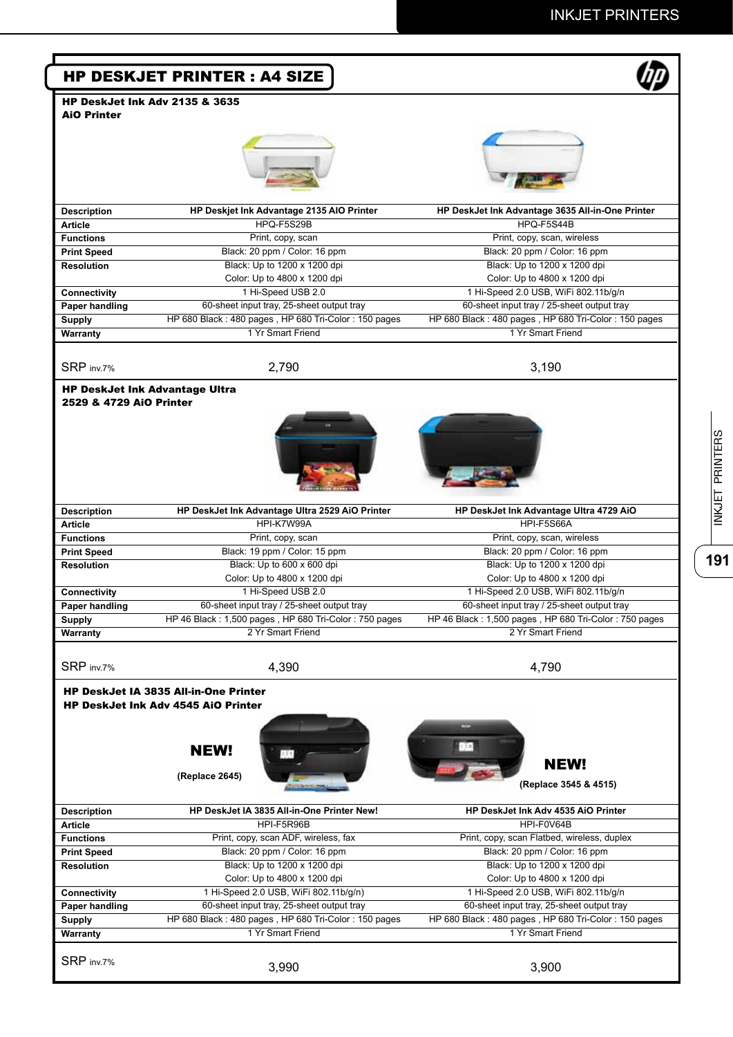| <b>AiO Printer</b>                                                      | <b>HP DeskJet Ink Adv 2135 &amp; 3635</b>                                                  |                                                                           |
|-------------------------------------------------------------------------|--------------------------------------------------------------------------------------------|---------------------------------------------------------------------------|
|                                                                         |                                                                                            |                                                                           |
|                                                                         |                                                                                            |                                                                           |
|                                                                         |                                                                                            |                                                                           |
|                                                                         |                                                                                            |                                                                           |
|                                                                         |                                                                                            |                                                                           |
| <b>Description</b>                                                      | HP Deskjet Ink Advantage 2135 AIO Printer                                                  | HP DeskJet Ink Advantage 3635 All-in-One Printer                          |
| <b>Article</b>                                                          | HPQ-F5S29B                                                                                 | HPQ-F5S44B                                                                |
| <b>Functions</b>                                                        | Print, copy, scan                                                                          | Print, copy, scan, wireless                                               |
| <b>Print Speed</b>                                                      | Black: 20 ppm / Color: 16 ppm                                                              | Black: 20 ppm / Color: 16 ppm                                             |
| <b>Resolution</b>                                                       | Black: Up to 1200 x 1200 dpi                                                               | Black: Up to 1200 x 1200 dpi                                              |
|                                                                         | Color: Up to 4800 x 1200 dpi                                                               | Color: Up to 4800 x 1200 dpi                                              |
| <b>Connectivity</b>                                                     | 1 Hi-Speed USB 2.0                                                                         | 1 Hi-Speed 2.0 USB, WiFi 802.11b/g/n                                      |
| Paper handling                                                          | 60-sheet input tray, 25-sheet output tray                                                  | 60-sheet input tray / 25-sheet output tray                                |
| <b>Supply</b>                                                           | HP 680 Black: 480 pages, HP 680 Tri-Color: 150 pages                                       | HP 680 Black: 480 pages, HP 680 Tri-Color: 150 pages                      |
| Warranty                                                                | 1 Yr Smart Friend                                                                          | 1 Yr Smart Friend                                                         |
|                                                                         |                                                                                            |                                                                           |
| SRP inv.7%                                                              | 2,790                                                                                      | 3,190                                                                     |
|                                                                         | <b>HP DeskJet Ink Advantage Ultra</b>                                                      |                                                                           |
| 2529 & 4729 AiO Printer                                                 |                                                                                            |                                                                           |
|                                                                         |                                                                                            |                                                                           |
|                                                                         |                                                                                            |                                                                           |
|                                                                         |                                                                                            |                                                                           |
|                                                                         |                                                                                            |                                                                           |
|                                                                         |                                                                                            |                                                                           |
|                                                                         |                                                                                            |                                                                           |
|                                                                         |                                                                                            |                                                                           |
| <b>Description</b>                                                      | HP DeskJet Ink Advantage Ultra 2529 AiO Printer                                            | HP DeskJet Ink Advantage Ultra 4729 AiO                                   |
| <b>Article</b>                                                          | HPI-K7W99A                                                                                 | HPI-F5S66A                                                                |
| <b>Functions</b>                                                        | Print, copy, scan                                                                          | Print, copy, scan, wireless                                               |
| <b>Print Speed</b>                                                      | Black: 19 ppm / Color: 15 ppm                                                              | Black: 20 ppm / Color: 16 ppm                                             |
| <b>Resolution</b>                                                       | Black: Up to 600 x 600 dpi                                                                 | Black: Up to 1200 x 1200 dpi                                              |
|                                                                         | Color: Up to 4800 x 1200 dpi                                                               | Color: Up to 4800 x 1200 dpi                                              |
| Connectivity                                                            | 1 Hi-Speed USB 2.0                                                                         | 1 Hi-Speed 2.0 USB, WiFi 802.11b/g/n                                      |
| Paper handling                                                          | 60-sheet input tray / 25-sheet output tray                                                 | 60-sheet input tray / 25-sheet output tray                                |
| <b>Supply</b>                                                           | HP 46 Black: 1,500 pages, HP 680 Tri-Color: 750 pages                                      | HP 46 Black: 1,500 pages, HP 680 Tri-Color: 750 pages                     |
| Warranty                                                                | 2 Yr Smart Friend                                                                          | 2 Yr Smart Friend                                                         |
|                                                                         |                                                                                            |                                                                           |
|                                                                         |                                                                                            |                                                                           |
|                                                                         | 4,390                                                                                      | 4,790                                                                     |
|                                                                         |                                                                                            |                                                                           |
|                                                                         | <b>HP DeskJet IA 3835 All-in-One Printer</b><br><b>HP DeskJet Ink Adv 4545 AiO Printer</b> |                                                                           |
|                                                                         |                                                                                            |                                                                           |
| SRP inv.7%                                                              |                                                                                            |                                                                           |
|                                                                         |                                                                                            |                                                                           |
|                                                                         | <b>NEW!</b>                                                                                |                                                                           |
|                                                                         | (Replace 2645)                                                                             | <b>NEW!</b>                                                               |
|                                                                         |                                                                                            | (Replace 3545 & 4515)                                                     |
|                                                                         |                                                                                            |                                                                           |
|                                                                         | HP DeskJet IA 3835 All-in-One Printer New!<br>HPI-F5R96B                                   | HP DeskJet Ink Adv 4535 AiO Printer<br>HPI-F0V64B                         |
|                                                                         | Print, copy, scan ADF, wireless, fax                                                       | Print, copy, scan Flatbed, wireless, duplex                               |
| <b>Description</b><br>Article<br><b>Functions</b><br><b>Print Speed</b> | Black: 20 ppm / Color: 16 ppm                                                              | Black: 20 ppm / Color: 16 ppm                                             |
| <b>Resolution</b>                                                       | Black: Up to 1200 x 1200 dpi                                                               | Black: Up to 1200 x 1200 dpi                                              |
|                                                                         |                                                                                            | Color: Up to 4800 x 1200 dpi                                              |
|                                                                         | Color: Up to 4800 x 1200 dpi<br>1 Hi-Speed 2.0 USB, WiFi 802.11b/g/n)                      | 1 Hi-Speed 2.0 USB, WiFi 802.11b/g/n                                      |
| <b>Connectivity</b>                                                     |                                                                                            |                                                                           |
| Paper handling                                                          | 60-sheet input tray, 25-sheet output tray                                                  | 60-sheet input tray, 25-sheet output tray                                 |
| <b>Supply</b><br>Warranty                                               | HP 680 Black: 480 pages, HP 680 Tri-Color: 150 pages<br>1 Yr Smart Friend                  | HP 680 Black: 480 pages, HP 680 Tri-Color: 150 pages<br>1 Yr Smart Friend |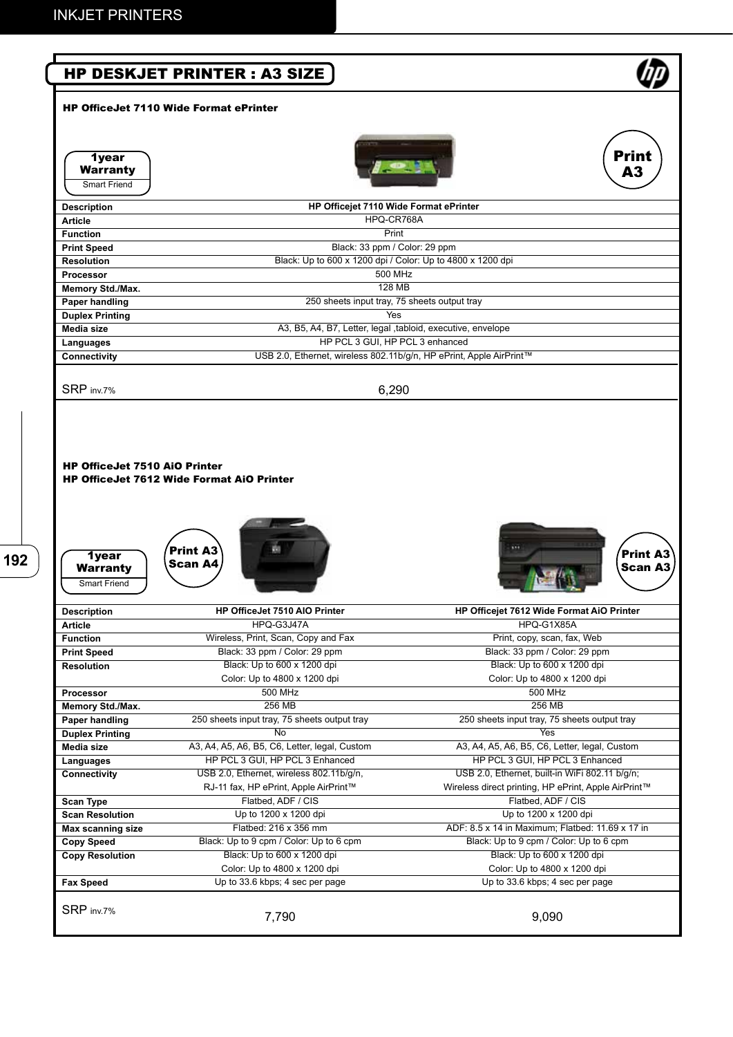|                                                 | <b>HP DESKJET PRINTER : A3 SIZE</b>                                 |                                                      |
|-------------------------------------------------|---------------------------------------------------------------------|------------------------------------------------------|
|                                                 | <b>HP OfficeJet 7110 Wide Format ePrinter</b>                       |                                                      |
| <b>1year</b><br>Warranty<br><b>Smart Friend</b> |                                                                     | <b>Print</b><br>A3                                   |
| <b>Description</b>                              | HP Officejet 7110 Wide Format ePrinter                              |                                                      |
| <b>Article</b>                                  | HPQ-CR768A                                                          |                                                      |
| <b>Function</b>                                 | Print                                                               |                                                      |
| <b>Print Speed</b>                              | Black: 33 ppm / Color: 29 ppm                                       |                                                      |
| <b>Resolution</b>                               | Black: Up to 600 x 1200 dpi / Color: Up to 4800 x 1200 dpi          |                                                      |
| <b>Processor</b>                                | 500 MHz                                                             |                                                      |
| Memory Std./Max.                                | <b>128 MB</b>                                                       |                                                      |
| <b>Paper handling</b>                           | 250 sheets input tray, 75 sheets output tray                        |                                                      |
| <b>Duplex Printing</b>                          | Yes                                                                 |                                                      |
| Media size                                      | A3, B5, A4, B7, Letter, legal , tabloid, executive, envelope        |                                                      |
| Languages                                       | HP PCL 3 GUI, HP PCL 3 enhanced                                     |                                                      |
| Connectivity                                    | USB 2.0, Ethernet, wireless 802.11b/g/n, HP ePrint, Apple AirPrint™ |                                                      |
| SRP inv.7%                                      | 6,290                                                               |                                                      |
| 1year<br>Warranty<br><b>Smart Friend</b>        | <b>Print A3</b><br>Scan A4                                          | Print A3<br><b>Scan A3</b>                           |
| <b>Description</b>                              | HP OfficeJet 7510 AIO Printer                                       | HP Officejet 7612 Wide Format AiO Printer            |
| <b>Article</b>                                  | HPQ-G3J47A                                                          | HPQ-G1X85A                                           |
| <b>Function</b>                                 | Wireless, Print, Scan, Copy and Fax                                 | Print, copy, scan, fax, Web                          |
| <b>Print Speed</b>                              | Black: 33 ppm / Color: 29 ppm                                       | Black: 33 ppm / Color: 29 ppm                        |
| <b>Resolution</b>                               | Black: Up to 600 x 1200 dpi                                         | Black: Up to 600 x 1200 dpi                          |
|                                                 | Color: Up to 4800 x 1200 dpi                                        | Color: Up to 4800 x 1200 dpi                         |
| Processor                                       | 500 MHz                                                             | 500 MHz                                              |
| Memory Std./Max.                                | 256 MB                                                              | 256 MB                                               |
| Paper handling                                  | 250 sheets input tray, 75 sheets output tray                        | 250 sheets input tray, 75 sheets output tray         |
| <b>Duplex Printing</b>                          | No                                                                  | Yes                                                  |
| Media size                                      | A3, A4, A5, A6, B5, C6, Letter, legal, Custom                       | A3, A4, A5, A6, B5, C6, Letter, legal, Custom        |
| Languages                                       | HP PCL 3 GUI, HP PCL 3 Enhanced                                     | HP PCL 3 GUI, HP PCL 3 Enhanced                      |
| Connectivity                                    | USB 2.0, Ethernet, wireless 802.11b/g/n,                            | USB 2.0, Ethernet, built-in WiFi 802.11 b/g/n;       |
|                                                 | RJ-11 fax, HP ePrint, Apple AirPrint™                               |                                                      |
| <b>Scan Type</b>                                | Flatbed, ADF / CIS                                                  | Wireless direct printing, HP ePrint, Apple AirPrint™ |
| <b>Scan Resolution</b>                          | Up to 1200 x 1200 dpi<br>Flatbed: 216 x 356 mm                      | Flatbed, ADF / CIS                                   |
| <b>Max scanning size</b>                        |                                                                     | Up to 1200 x 1200 dpi                                |
| <b>Copy Speed</b>                               |                                                                     | ADF: 8.5 x 14 in Maximum; Flatbed: 11.69 x 17 in     |
| <b>Copy Resolution</b>                          | Black: Up to 9 cpm / Color: Up to 6 cpm                             | Black: Up to 9 cpm / Color: Up to 6 cpm              |
|                                                 | Black: Up to 600 x 1200 dpi                                         | Black: Up to 600 x 1200 dpi                          |
|                                                 | Color: Up to 4800 x 1200 dpi                                        | Color: Up to 4800 x 1200 dpi                         |
| <b>Fax Speed</b>                                | Up to 33.6 kbps; 4 sec per page                                     | Up to 33.6 kbps; 4 sec per page                      |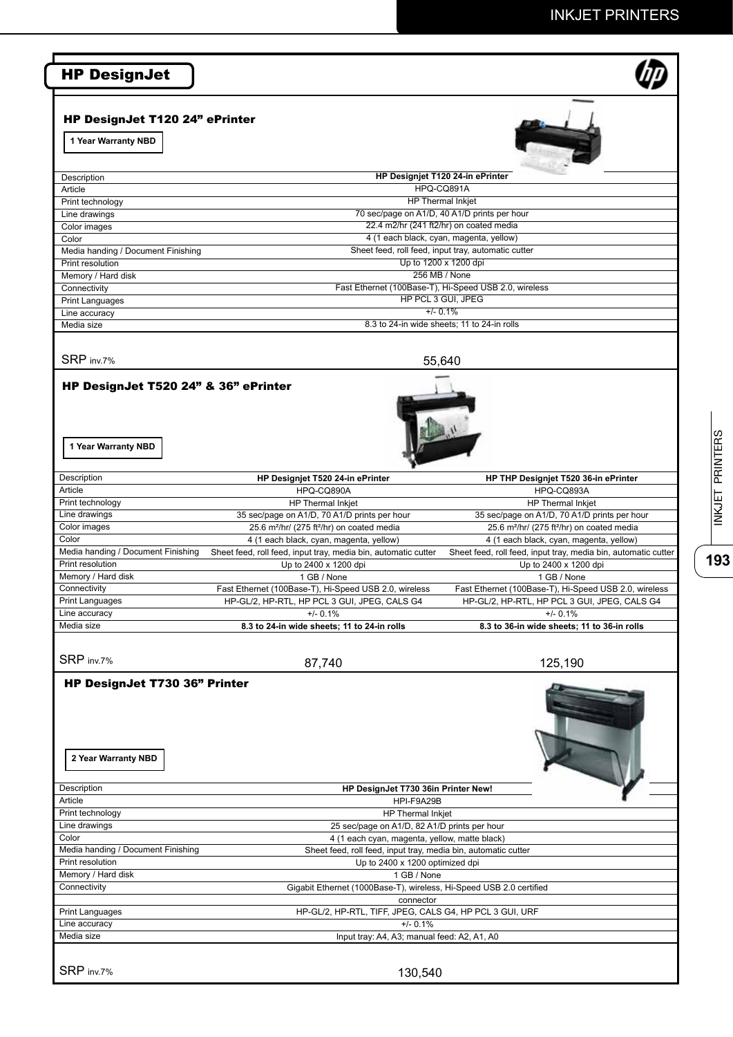| HP DesignJet T120 24" ePrinter                                       |                                                                                                                 |                                                                    |
|----------------------------------------------------------------------|-----------------------------------------------------------------------------------------------------------------|--------------------------------------------------------------------|
| 1 Year Warranty NBD                                                  |                                                                                                                 |                                                                    |
| Description                                                          | HP Designjet T120 24-in ePrinter                                                                                |                                                                    |
| Article                                                              | HPQ-CQ891A                                                                                                      |                                                                    |
| Print technology                                                     | <b>HP Thermal Inkjet</b><br>70 sec/page on A1/D, 40 A1/D prints per hour                                        |                                                                    |
| Line drawings<br>Color images                                        | 22.4 m2/hr (241 ft2/hr) on coated media                                                                         |                                                                    |
| Color                                                                | 4 (1 each black, cyan, magenta, yellow)                                                                         |                                                                    |
| Media handing / Document Finishing                                   | Sheet feed, roll feed, input tray, automatic cutter                                                             |                                                                    |
| Print resolution                                                     | Up to 1200 x 1200 dpi<br>256 MB / None                                                                          |                                                                    |
| Memory / Hard disk<br>Connectivity                                   | Fast Ethernet (100Base-T), Hi-Speed USB 2.0, wireless                                                           |                                                                    |
| <b>Print Languages</b>                                               | HP PCL 3 GUI. JPEG                                                                                              |                                                                    |
| Line accuracy                                                        | $+/- 0.1%$                                                                                                      |                                                                    |
| Media size                                                           | 8.3 to 24-in wide sheets; 11 to 24-in rolls                                                                     |                                                                    |
| SRP inv.7%                                                           | 55,640                                                                                                          |                                                                    |
| HP DesignJet T520 24" & 36" ePrinter<br>1 Year Warranty NBD          |                                                                                                                 |                                                                    |
|                                                                      |                                                                                                                 |                                                                    |
| Description<br>Article                                               | HP Designjet T520 24-in ePrinter<br>HPQ-CQ890A                                                                  | HP THP Designjet T520 36-in ePrinter<br>HPQ-CQ893A                 |
| Print technology                                                     | HP Thermal Inkjet                                                                                               | HP Thermal Inkjet                                                  |
| Line drawings                                                        | 35 sec/page on A1/D, 70 A1/D prints per hour                                                                    | 35 sec/page on A1/D, 70 A1/D prints per hour                       |
| Color images                                                         | 25.6 m <sup>2</sup> /hr/ (275 ft <sup>2</sup> /hr) on coated media                                              | 25.6 m <sup>2</sup> /hr/ (275 ft <sup>2</sup> /hr) on coated media |
| Color                                                                | 4 (1 each black, cyan, magenta, yellow)                                                                         | 4 (1 each black, cyan, magenta, yellow)                            |
| Media handing / Document Finishing<br>Print resolution               | Sheet feed, roll feed, input tray, media bin, automatic cutter                                                  | Sheet feed, roll feed, input tray, media bin, automatic cutter     |
| Memory / Hard disk                                                   | Up to 2400 x 1200 dpi<br>1 GB / None                                                                            | Up to 2400 x 1200 dpi<br>1 GB / None                               |
| Connectivity                                                         | Fast Ethernet (100Base-T), Hi-Speed USB 2.0, wireless                                                           | Fast Ethernet (100Base-T), Hi-Speed USB 2.0, wireless              |
| <b>Print Languages</b>                                               | HP-GL/2, HP-RTL, HP PCL 3 GUI, JPEG, CALS G4                                                                    | HP-GL/2, HP-RTL, HP PCL 3 GUI, JPEG, CALS G4                       |
| Line accuracy                                                        | $+/- 0.1%$                                                                                                      | $+/- 0.1%$                                                         |
| Media size                                                           | 8.3 to 24-in wide sheets; 11 to 24-in rolls                                                                     | 8.3 to 36-in wide sheets; 11 to 36-in rolls                        |
| SRP inv.7%                                                           | 87,740                                                                                                          | 125,190                                                            |
| HP DesignJet T730 36" Printer<br>2 Year Warranty NBD                 |                                                                                                                 |                                                                    |
|                                                                      |                                                                                                                 |                                                                    |
|                                                                      | HP DesignJet T730 36in Printer New!                                                                             |                                                                    |
|                                                                      | HPI-F9A29B                                                                                                      |                                                                    |
|                                                                      | HP Thermal Inkjet                                                                                               |                                                                    |
| Description<br>Article<br>Print technology<br>Line drawings<br>Color | 25 sec/page on A1/D, 82 A1/D prints per hour                                                                    |                                                                    |
|                                                                      | 4 (1 each cyan, magenta, yellow, matte black)<br>Sheet feed, roll feed, input tray, media bin, automatic cutter |                                                                    |
| Media handing / Document Finishing<br>Print resolution               | Up to 2400 x 1200 optimized dpi                                                                                 |                                                                    |
|                                                                      | 1 GB / None                                                                                                     |                                                                    |
| Memory / Hard disk<br>Connectivity                                   | Gigabit Ethernet (1000Base-T), wireless, Hi-Speed USB 2.0 certified                                             |                                                                    |
|                                                                      | connector                                                                                                       |                                                                    |
|                                                                      | HP-GL/2, HP-RTL, TIFF, JPEG, CALS G4, HP PCL 3 GUI, URF<br>$+/- 0.1%$                                           |                                                                    |
| <b>Print Languages</b><br>Line accuracy<br>Media size                | Input tray: A4, A3; manual feed: A2, A1, A0                                                                     |                                                                    |

 $\frac{1}{193}$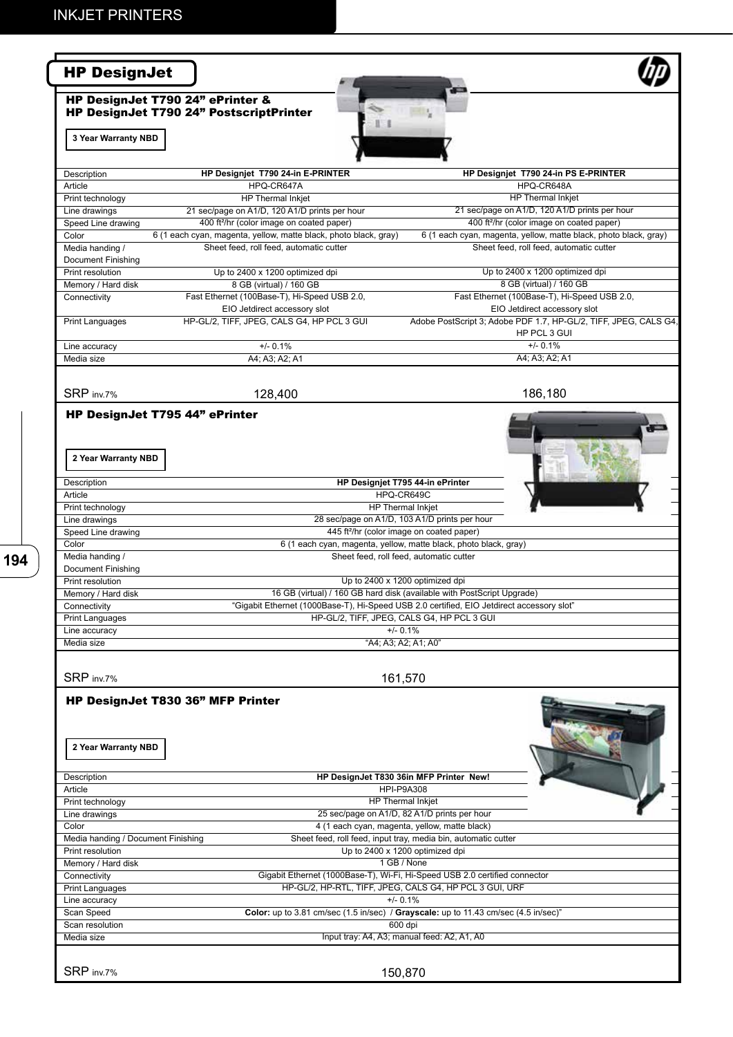| <b>HP DesignJet</b>                                   |                                                                                                                           |                                                                                                                                         |
|-------------------------------------------------------|---------------------------------------------------------------------------------------------------------------------------|-----------------------------------------------------------------------------------------------------------------------------------------|
| HP DesignJet T790 24" ePrinter &                      | HP DesignJet T790 24" PostscriptPrinter                                                                                   |                                                                                                                                         |
| 3 Year Warranty NBD                                   |                                                                                                                           |                                                                                                                                         |
| Description                                           | HP Designjet T790 24-in E-PRINTER                                                                                         | HP Designjet T790 24-in PS E-PRINTER                                                                                                    |
| Article                                               | HPQ-CR647A                                                                                                                | HPQ-CR648A                                                                                                                              |
| Print technology                                      | HP Thermal Inkjet                                                                                                         | <b>HP Thermal Inkjet</b>                                                                                                                |
| Line drawings                                         | 21 sec/page on A1/D, 120 A1/D prints per hour                                                                             | 21 sec/page on A1/D, 120 A1/D prints per hour                                                                                           |
| Speed Line drawing<br>Color                           | 400 ft <sup>2</sup> /hr (color image on coated paper)<br>6 (1 each cyan, magenta, yellow, matte black, photo black, gray) | 400 ft <sup>2</sup> /hr (color image on coated paper)<br>6 (1 each cyan, magenta, yellow, matte black, photo black, gray)               |
| Media handing /<br>Document Finishing                 | Sheet feed, roll feed, automatic cutter                                                                                   | Sheet feed, roll feed, automatic cutter                                                                                                 |
| Print resolution                                      | Up to 2400 x 1200 optimized dpi                                                                                           | Up to 2400 x 1200 optimized dpi                                                                                                         |
| Memory / Hard disk                                    | 8 GB (virtual) / 160 GB                                                                                                   | 8 GB (virtual) / 160 GB                                                                                                                 |
| Connectivity                                          | Fast Ethernet (100Base-T), Hi-Speed USB 2.0,                                                                              | Fast Ethernet (100Base-T), Hi-Speed USB 2.0,                                                                                            |
|                                                       | EIO Jetdirect accessory slot                                                                                              | EIO Jetdirect accessory slot                                                                                                            |
| <b>Print Languages</b>                                | HP-GL/2, TIFF, JPEG, CALS G4, HP PCL 3 GUI                                                                                | Adobe PostScript 3; Adobe PDF 1.7, HP-GL/2, TIFF, JPEG, CALS G4,<br>HP PCL 3 GUI                                                        |
| Line accuracy                                         | $+/- 0.1%$                                                                                                                | $+/- 0.1%$                                                                                                                              |
| Media size                                            | A4; A3; A2; A1                                                                                                            | A4; A3; A2; A1                                                                                                                          |
| SRP inv.7%                                            | 128,400                                                                                                                   | 186,180                                                                                                                                 |
| HP DesignJet T795 44" ePrinter<br>2 Year Warranty NBD |                                                                                                                           |                                                                                                                                         |
| Description                                           |                                                                                                                           | HP Designjet T795 44-in ePrinter                                                                                                        |
| Article                                               |                                                                                                                           | HPQ-CR649C                                                                                                                              |
| Print technology                                      |                                                                                                                           | <b>HP Thermal Inkjet</b>                                                                                                                |
| Line drawings<br>Speed Line drawing                   |                                                                                                                           | 28 sec/page on A1/D, 103 A1/D prints per hour<br>445 ft <sup>2</sup> /hr (color image on coated paper)                                  |
| Color                                                 |                                                                                                                           | 6 (1 each cyan, magenta, yellow, matte black, photo black, gray)                                                                        |
| Media handing /                                       |                                                                                                                           | Sheet feed, roll feed, automatic cutter                                                                                                 |
| <b>Document Finishing</b>                             |                                                                                                                           |                                                                                                                                         |
| Print resolution                                      |                                                                                                                           | Up to 2400 x 1200 optimized dpi                                                                                                         |
| Memory / Hard disk                                    |                                                                                                                           | 16 GB (virtual) / 160 GB hard disk (available with PostScript Upgrade)                                                                  |
| Connectivity                                          |                                                                                                                           | "Gigabit Ethernet (1000Base-T), Hi-Speed USB 2.0 certified, EIO Jetdirect accessory slot"<br>HP-GL/2, TIFF, JPEG, CALS G4, HP PCL 3 GUI |
| <b>Print Languages</b><br>Line accuracy               |                                                                                                                           | $+/- 0.1%$                                                                                                                              |
| Media size                                            |                                                                                                                           | "A4; A3; A2; A1; A0"                                                                                                                    |
| SRP inv.7%                                            |                                                                                                                           | 161,570                                                                                                                                 |
| HP DesignJet T830 36" MFP Printer                     |                                                                                                                           |                                                                                                                                         |
| 2 Year Warranty NBD                                   |                                                                                                                           |                                                                                                                                         |
| Description                                           |                                                                                                                           | HP DesignJet T830 36in MFP Printer New!                                                                                                 |
| Article                                               |                                                                                                                           | <b>HPI-P9A308</b>                                                                                                                       |
| Print technology                                      |                                                                                                                           | <b>HP Thermal Inkjet</b>                                                                                                                |
| Line drawings                                         |                                                                                                                           | 25 sec/page on A1/D, 82 A1/D prints per hour                                                                                            |
| Color<br>Media handing / Document Finishing           |                                                                                                                           | 4 (1 each cyan, magenta, yellow, matte black)<br>Sheet feed, roll feed, input tray, media bin, automatic cutter                         |
| Print resolution                                      |                                                                                                                           | Up to 2400 x 1200 optimized dpi                                                                                                         |
| Memory / Hard disk                                    |                                                                                                                           | 1 GB / None                                                                                                                             |
| Connectivity                                          |                                                                                                                           | Gigabit Ethernet (1000Base-T), Wi-Fi, Hi-Speed USB 2.0 certified connector                                                              |
| <b>Print Languages</b>                                |                                                                                                                           | HP-GL/2, HP-RTL, TIFF, JPEG, CALS G4, HP PCL 3 GUI, URF                                                                                 |
| Line accuracy                                         |                                                                                                                           | $+/- 0.1%$                                                                                                                              |
| Scan Speed                                            |                                                                                                                           | Color: up to 3.81 cm/sec (1.5 in/sec) / Grayscale: up to 11.43 cm/sec (4.5 in/sec)"                                                     |
| Scan resolution                                       |                                                                                                                           | 600 dpi                                                                                                                                 |
| Media size                                            |                                                                                                                           | Input tray: A4, A3; manual feed: A2, A1, A0                                                                                             |
| SRP inv.7%                                            |                                                                                                                           | 150,870                                                                                                                                 |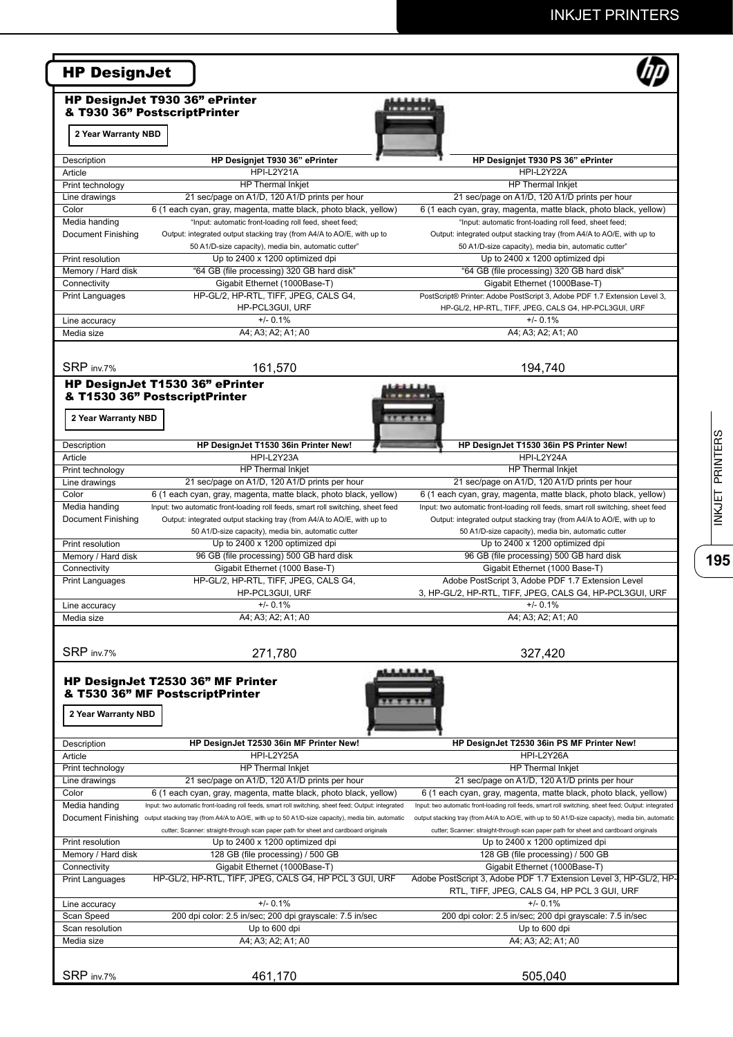# INKJET PRINTERS

| <b>HP DesignJet T930 36" ePrinter</b>                            | <b>HP DesignJet</b>                                                                                                                                                                                        |                                                                                                                                                                                         |
|------------------------------------------------------------------|------------------------------------------------------------------------------------------------------------------------------------------------------------------------------------------------------------|-----------------------------------------------------------------------------------------------------------------------------------------------------------------------------------------|
| & T930 36" PostscriptPrinter                                     |                                                                                                                                                                                                            |                                                                                                                                                                                         |
| 2 Year Warranty NBD                                              |                                                                                                                                                                                                            |                                                                                                                                                                                         |
|                                                                  |                                                                                                                                                                                                            |                                                                                                                                                                                         |
| Description                                                      | HP Designjet T930 36" ePrinter                                                                                                                                                                             | HP Designjet T930 PS 36" ePrinter                                                                                                                                                       |
| Article                                                          | HPI-L2Y21A                                                                                                                                                                                                 | HPI-L2Y22A                                                                                                                                                                              |
| Print technology                                                 | <b>HP Thermal Inkjet</b>                                                                                                                                                                                   | <b>HP</b> Thermal Inkiet                                                                                                                                                                |
| Line drawings                                                    | 21 sec/page on A1/D, 120 A1/D prints per hour                                                                                                                                                              | 21 sec/page on A1/D, 120 A1/D prints per hour                                                                                                                                           |
| Color                                                            | 6 (1 each cyan, gray, magenta, matte black, photo black, yellow)                                                                                                                                           | 6 (1 each cyan, gray, magenta, matte black, photo black, yellow)                                                                                                                        |
| Media handing                                                    | "Input: automatic front-loading roll feed, sheet feed;                                                                                                                                                     | "Input: automatic front-loading roll feed, sheet feed;                                                                                                                                  |
| Document Finishing                                               | Output: integrated output stacking tray (from A4/A to AO/E, with up to                                                                                                                                     | Output: integrated output stacking tray (from A4/A to AO/E, with up to                                                                                                                  |
|                                                                  | 50 A1/D-size capacity), media bin, automatic cutter"                                                                                                                                                       | 50 A1/D-size capacity), media bin, automatic cutter"                                                                                                                                    |
| Print resolution                                                 | Up to 2400 x 1200 optimized dpi                                                                                                                                                                            | Up to 2400 x 1200 optimized dpi                                                                                                                                                         |
| Memory / Hard disk                                               | "64 GB (file processing) 320 GB hard disk"                                                                                                                                                                 | "64 GB (file processing) 320 GB hard disk"                                                                                                                                              |
| Connectivity                                                     | Gigabit Ethernet (1000Base-T)                                                                                                                                                                              | Gigabit Ethernet (1000Base-T)                                                                                                                                                           |
| Print Languages                                                  | HP-GL/2, HP-RTL, TIFF, JPEG, CALS G4,                                                                                                                                                                      | PostScript® Printer: Adobe PostScript 3, Adobe PDF 1.7 Extension Level 3,                                                                                                               |
|                                                                  | HP-PCL3GUI, URF                                                                                                                                                                                            | HP-GL/2, HP-RTL, TIFF, JPEG, CALS G4, HP-PCL3GUI, URF                                                                                                                                   |
|                                                                  | $+/- 0.1%$                                                                                                                                                                                                 | $+/- 0.1%$                                                                                                                                                                              |
| Line accuracy                                                    |                                                                                                                                                                                                            |                                                                                                                                                                                         |
| Media size                                                       | A4; A3; A2; A1; A0                                                                                                                                                                                         | A4; A3; A2; A1; A0                                                                                                                                                                      |
|                                                                  |                                                                                                                                                                                                            |                                                                                                                                                                                         |
| SRP inv.7%                                                       | 161,570                                                                                                                                                                                                    | 194,740                                                                                                                                                                                 |
| HP DesignJet T1530 36" ePrinter<br>& T1530 36" PostscriptPrinter |                                                                                                                                                                                                            |                                                                                                                                                                                         |
| 2 Year Warranty NBD                                              |                                                                                                                                                                                                            |                                                                                                                                                                                         |
| Description                                                      | HP DesignJet T1530 36in Printer New!                                                                                                                                                                       | HP DesignJet T1530 36in PS Printer New!                                                                                                                                                 |
| Article                                                          | HPI-L2Y23A                                                                                                                                                                                                 | HPI-L2Y24A                                                                                                                                                                              |
|                                                                  |                                                                                                                                                                                                            |                                                                                                                                                                                         |
| Print technology                                                 | HP Thermal Inkjet                                                                                                                                                                                          | HP Thermal Inkjet                                                                                                                                                                       |
| Line drawings                                                    | 21 sec/page on A1/D, 120 A1/D prints per hour                                                                                                                                                              | 21 sec/page on A1/D, 120 A1/D prints per hour                                                                                                                                           |
| Color                                                            | 6 (1 each cyan, gray, magenta, matte black, photo black, yellow)                                                                                                                                           | 6 (1 each cyan, gray, magenta, matte black, photo black, yellow)                                                                                                                        |
| Media handing                                                    | Input: two automatic front-loading roll feeds, smart roll switching, sheet feed                                                                                                                            | Input: two automatic front-loading roll feeds, smart roll switching, sheet feed                                                                                                         |
| Document Finishing                                               | Output: integrated output stacking tray (from A4/A to AO/E, with up to                                                                                                                                     | Output: integrated output stacking tray (from A4/A to AO/E, with up to                                                                                                                  |
|                                                                  | 50 A1/D-size capacity), media bin, automatic cutter                                                                                                                                                        | 50 A1/D-size capacity), media bin, automatic cutter                                                                                                                                     |
| Print resolution                                                 | Up to 2400 x 1200 optimized dpi                                                                                                                                                                            | Up to 2400 x 1200 optimized dpi                                                                                                                                                         |
| Memory / Hard disk                                               | 96 GB (file processing) 500 GB hard disk                                                                                                                                                                   | 96 GB (file processing) 500 GB hard disk                                                                                                                                                |
| Connectivity                                                     | Gigabit Ethernet (1000 Base-T)                                                                                                                                                                             | Gigabit Ethernet (1000 Base-T)                                                                                                                                                          |
| <b>Print Languages</b>                                           | HP-GL/2, HP-RTL, TIFF, JPEG, CALS G4,                                                                                                                                                                      | Adobe PostScript 3, Adobe PDF 1.7 Extension Level                                                                                                                                       |
|                                                                  | HP-PCL3GUI, URF                                                                                                                                                                                            | 3, HP-GL/2, HP-RTL, TIFF, JPEG, CALS G4, HP-PCL3GUI, URF                                                                                                                                |
| Line accuracy                                                    | $+/- 0.1%$                                                                                                                                                                                                 | $+/- 0.1%$                                                                                                                                                                              |
| Media size                                                       | A4; A3; A2; A1; A0                                                                                                                                                                                         | A4; A3; A2; A1; A0                                                                                                                                                                      |
| SRP inv.7%                                                       | 271,780                                                                                                                                                                                                    | 327,420                                                                                                                                                                                 |
| & T530 36" MF PostscriptPrinter<br>2 Year Warranty NBD           | <b>HP DesignJet T2530 36" MF Printer</b>                                                                                                                                                                   |                                                                                                                                                                                         |
| Description                                                      | HP DesignJet T2530 36in MF Printer New!                                                                                                                                                                    | HP DesignJet T2530 36in PS MF Printer New!                                                                                                                                              |
| Article                                                          | HPI-L2Y25A                                                                                                                                                                                                 | HPI-L2Y26A                                                                                                                                                                              |
| Print technology                                                 | HP Thermal Inkjet                                                                                                                                                                                          | HP Thermal Inkjet                                                                                                                                                                       |
| Line drawings                                                    | 21 sec/page on A1/D, 120 A1/D prints per hour                                                                                                                                                              | 21 sec/page on A1/D, 120 A1/D prints per hour                                                                                                                                           |
| Color                                                            | 6 (1 each cyan, gray, magenta, matte black, photo black, yellow)                                                                                                                                           | 6 (1 each cyan, gray, magenta, matte black, photo black, yellow)                                                                                                                        |
| Media handing                                                    | Input: two automatic front-loading roll feeds, smart roll switching, sheet feed; Output: integrated                                                                                                        | Input: two automatic front-loading roll feeds, smart roll switching, sheet feed; Output: integrated                                                                                     |
|                                                                  | Document Finishing output stacking tray (from A4/A to AO/E, with up to 50 A1/D-size capacity), media bin, automatic<br>cutter; Scanner: straight-through scan paper path for sheet and cardboard originals | output stacking tray (from A4/A to AO/E, with up to 50 A1/D-size capacity), media bin, automatic<br>cutter; Scanner: straight-through scan paper path for sheet and cardboard originals |
| Print resolution                                                 | Up to 2400 x 1200 optimized dpi                                                                                                                                                                            | Up to 2400 x 1200 optimized dpi                                                                                                                                                         |
| Memory / Hard disk                                               | 128 GB (file processing) / 500 GB                                                                                                                                                                          | 128 GB (file processing) / 500 GB                                                                                                                                                       |
| Connectivity                                                     | Gigabit Ethernet (1000Base-T)                                                                                                                                                                              | Gigabit Ethernet (1000Base-T)                                                                                                                                                           |
| Print Languages                                                  | HP-GL/2, HP-RTL, TIFF, JPEG, CALS G4, HP PCL 3 GUI, URF                                                                                                                                                    | Adobe PostScript 3, Adobe PDF 1.7 Extension Level 3, HP-GL/2, HP-                                                                                                                       |
|                                                                  |                                                                                                                                                                                                            | RTL, TIFF, JPEG, CALS G4, HP PCL 3 GUI, URF                                                                                                                                             |
| Line accuracy                                                    | $+/- 0.1%$                                                                                                                                                                                                 | $+/- 0.1%$                                                                                                                                                                              |
|                                                                  |                                                                                                                                                                                                            | 200 dpi color: 2.5 in/sec; 200 dpi grayscale: 7.5 in/sec                                                                                                                                |
|                                                                  | 200 dpi color: 2.5 in/sec; 200 dpi grayscale: 7.5 in/sec                                                                                                                                                   |                                                                                                                                                                                         |
|                                                                  | Up to 600 dpi                                                                                                                                                                                              | Up to 600 dpi                                                                                                                                                                           |
| Scan Speed<br>Scan resolution<br>Media size                      | A4; A3; A2; A1; A0                                                                                                                                                                                         | A4; A3; A2; A1; A0                                                                                                                                                                      |
|                                                                  |                                                                                                                                                                                                            |                                                                                                                                                                                         |

INKJET PRINTERS **195**INKJET PRINTERS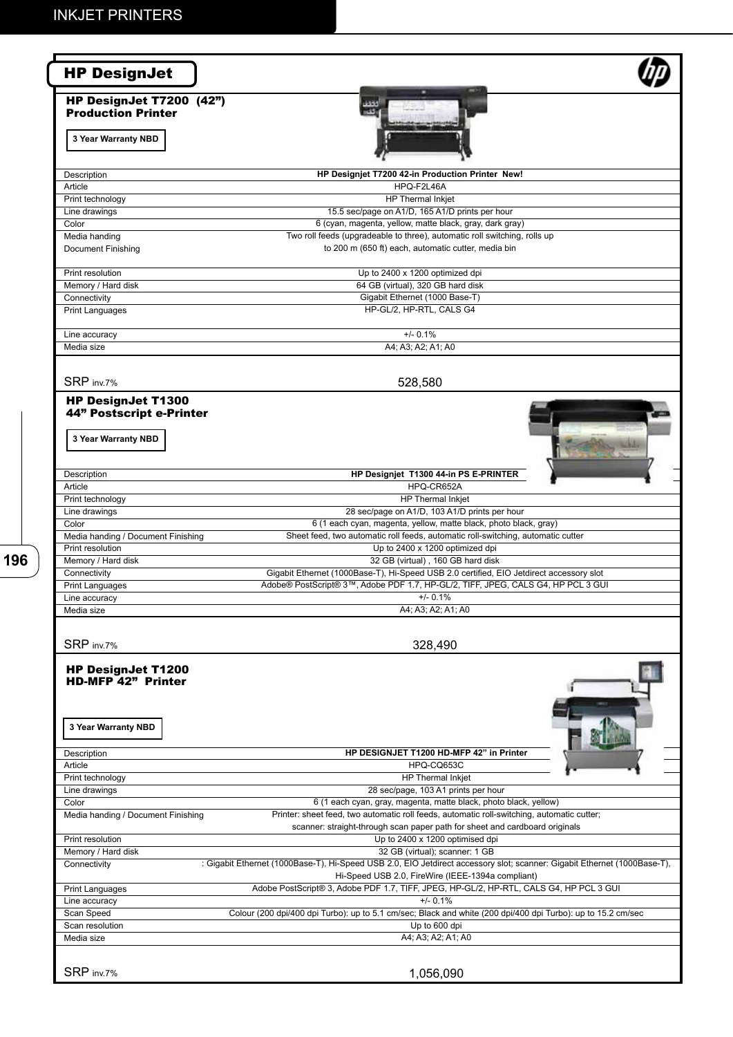| <b>HP DesignJet</b>                                                           |                                                                                                                                                                               |
|-------------------------------------------------------------------------------|-------------------------------------------------------------------------------------------------------------------------------------------------------------------------------|
| HP DesignJet T7200 (42")<br><b>Production Printer</b>                         |                                                                                                                                                                               |
| 3 Year Warranty NBD                                                           |                                                                                                                                                                               |
| Description                                                                   | HP Designjet T7200 42-in Production Printer New!                                                                                                                              |
| Article                                                                       | HPQ-F2L46A                                                                                                                                                                    |
| Print technology<br>Line drawings                                             | <b>HP</b> Thermal Inkjet<br>15.5 sec/page on A1/D, 165 A1/D prints per hour                                                                                                   |
| Color                                                                         | 6 (cyan, magenta, yellow, matte black, gray, dark gray)                                                                                                                       |
| Media handing<br>Document Finishing                                           | Two roll feeds (upgradeable to three), automatic roll switching, rolls up<br>to 200 m (650 ft) each, automatic cutter, media bin                                              |
| Print resolution                                                              | Up to 2400 x 1200 optimized dpi                                                                                                                                               |
| Memory / Hard disk                                                            | 64 GB (virtual), 320 GB hard disk                                                                                                                                             |
| Connectivity<br><b>Print Languages</b>                                        | Gigabit Ethernet (1000 Base-T)<br>HP-GL/2, HP-RTL, CALS G4                                                                                                                    |
|                                                                               |                                                                                                                                                                               |
| Line accuracy                                                                 | $+/- 0.1%$                                                                                                                                                                    |
| Media size                                                                    | A4; A3; A2; A1; A0                                                                                                                                                            |
| SRP inv.7%                                                                    | 528,580                                                                                                                                                                       |
| <b>HP DesignJet T1300</b>                                                     |                                                                                                                                                                               |
| 44" Postscript e-Printer                                                      |                                                                                                                                                                               |
| 3 Year Warranty NBD                                                           |                                                                                                                                                                               |
| Description                                                                   | HP Designjet T1300 44-in PS E-PRINTER                                                                                                                                         |
| Article                                                                       | HPQ-CR652A                                                                                                                                                                    |
| Print technology                                                              | <b>HP</b> Thermal Inkjet<br>28 sec/page on A1/D, 103 A1/D prints per hour                                                                                                     |
| Line drawings<br>Color                                                        | 6 (1 each cyan, magenta, yellow, matte black, photo black, gray)                                                                                                              |
| Media handing / Document Finishing                                            | Sheet feed, two automatic roll feeds, automatic roll-switching, automatic cutter                                                                                              |
| Print resolution                                                              | Up to 2400 x 1200 optimized dpi                                                                                                                                               |
| Memory / Hard disk<br>Connectivity                                            | 32 GB (virtual), 160 GB hard disk<br>Gigabit Ethernet (1000Base-T), Hi-Speed USB 2.0 certified, EIO Jetdirect accessory slot                                                  |
| <b>Print Languages</b>                                                        | Adobe® PostScript® 3™, Adobe PDF 1.7, HP-GL/2, TIFF, JPEG, CALS G4, HP PCL 3 GUI                                                                                              |
| Line accuracy                                                                 | $+/- 0.1%$                                                                                                                                                                    |
| Media size                                                                    | A4; A3; A2; A1; A0                                                                                                                                                            |
| SRP inv.7%                                                                    |                                                                                                                                                                               |
|                                                                               | 328,490                                                                                                                                                                       |
| <b>HP DesignJet T1200</b><br><b>HD-MFP 42" Printer</b><br>3 Year Warranty NBD |                                                                                                                                                                               |
| Description                                                                   | HP DESIGNJET T1200 HD-MFP 42" in Printer                                                                                                                                      |
| Article<br>Print technology                                                   | HPQ-CQ653C<br><b>HP Thermal Inkjet</b>                                                                                                                                        |
| Line drawings                                                                 | 28 sec/page, 103 A1 prints per hour                                                                                                                                           |
| Color                                                                         | 6 (1 each cyan, gray, magenta, matte black, photo black, yellow)                                                                                                              |
| Media handing / Document Finishing                                            | Printer: sheet feed, two automatic roll feeds, automatic roll-switching, automatic cutter;<br>scanner: straight-through scan paper path for sheet and cardboard originals     |
| Print resolution<br>Memory / Hard disk                                        | Up to 2400 x 1200 optimised dpi<br>32 GB (virtual); scanner: 1 GB                                                                                                             |
| Connectivity                                                                  | : Gigabit Ethernet (1000Base-T), Hi-Speed USB 2.0, EIO Jetdirect accessory slot; scanner: Gigabit Ethernet (1000Base-T),<br>Hi-Speed USB 2.0, FireWire (IEEE-1394a compliant) |
| <b>Print Languages</b>                                                        | Adobe PostScript® 3, Adobe PDF 1.7, TIFF, JPEG, HP-GL/2, HP-RTL, CALS G4, HP PCL 3 GUI                                                                                        |
| Line accuracy                                                                 | $+/- 0.1%$                                                                                                                                                                    |
| Scan Speed                                                                    | Colour (200 dpi/400 dpi Turbo): up to 5.1 cm/sec; Black and white (200 dpi/400 dpi Turbo): up to 15.2 cm/sec                                                                  |
| Scan resolution<br>Media size                                                 | Up to 600 dpi<br>A4; A3; A2; A1; A0                                                                                                                                           |
|                                                                               |                                                                                                                                                                               |
| SRP inv.7%                                                                    | 1,056,090                                                                                                                                                                     |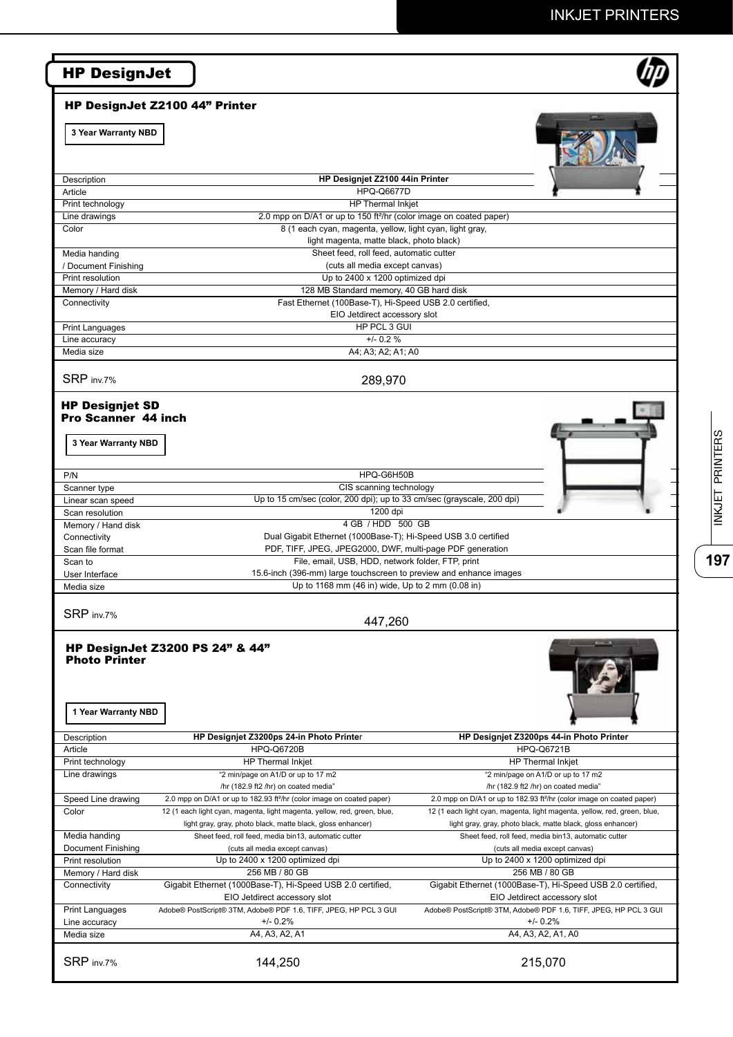|                                                                                                                                                                                                                            | HP DesignJet Z2100 44" Printer                                                                                            |                                                                                            |
|----------------------------------------------------------------------------------------------------------------------------------------------------------------------------------------------------------------------------|---------------------------------------------------------------------------------------------------------------------------|--------------------------------------------------------------------------------------------|
| 3 Year Warranty NBD                                                                                                                                                                                                        |                                                                                                                           |                                                                                            |
| Description                                                                                                                                                                                                                | HP Designjet Z2100 44in Printer                                                                                           |                                                                                            |
| Article                                                                                                                                                                                                                    | <b>HPQ-Q6677D</b>                                                                                                         |                                                                                            |
| Print technology                                                                                                                                                                                                           | <b>HP</b> Thermal Inkjet                                                                                                  |                                                                                            |
| Line drawings                                                                                                                                                                                                              | 2.0 mpp on D/A1 or up to 150 ft <sup>2</sup> /hr (color image on coated paper)                                            |                                                                                            |
| Color                                                                                                                                                                                                                      | 8 (1 each cyan, magenta, yellow, light cyan, light gray,                                                                  |                                                                                            |
|                                                                                                                                                                                                                            | light magenta, matte black, photo black)                                                                                  |                                                                                            |
| Media handing                                                                                                                                                                                                              | Sheet feed, roll feed, automatic cutter                                                                                   |                                                                                            |
| / Document Finishing                                                                                                                                                                                                       | (cuts all media except canvas)                                                                                            |                                                                                            |
| Print resolution<br>Memory / Hard disk                                                                                                                                                                                     | Up to 2400 x 1200 optimized dpi<br>128 MB Standard memory, 40 GB hard disk                                                |                                                                                            |
| Connectivity                                                                                                                                                                                                               | Fast Ethernet (100Base-T), Hi-Speed USB 2.0 certified,                                                                    |                                                                                            |
|                                                                                                                                                                                                                            | EIO Jetdirect accessory slot                                                                                              |                                                                                            |
| <b>Print Languages</b>                                                                                                                                                                                                     | HP PCL 3 GUI                                                                                                              |                                                                                            |
| Line accuracy                                                                                                                                                                                                              | $+/- 0.2 %$                                                                                                               |                                                                                            |
| Media size                                                                                                                                                                                                                 | A4; A3; A2; A1; A0                                                                                                        |                                                                                            |
|                                                                                                                                                                                                                            |                                                                                                                           |                                                                                            |
| SRP inv.7%                                                                                                                                                                                                                 | 289,970                                                                                                                   |                                                                                            |
| <b>Pro Scanner 44 inch</b><br>3 Year Warranty NBD                                                                                                                                                                          |                                                                                                                           |                                                                                            |
| P/N                                                                                                                                                                                                                        | HPQ-G6H50B                                                                                                                |                                                                                            |
| Scanner type                                                                                                                                                                                                               | CIS scanning technology                                                                                                   |                                                                                            |
| Linear scan speed                                                                                                                                                                                                          | Up to 15 cm/sec (color, 200 dpi); up to 33 cm/sec (grayscale, 200 dpi)                                                    |                                                                                            |
| Scan resolution                                                                                                                                                                                                            | 1200 dpi                                                                                                                  |                                                                                            |
| Memory / Hand disk                                                                                                                                                                                                         | 4 GB / HDD 500 GB                                                                                                         |                                                                                            |
| Connectivity                                                                                                                                                                                                               | Dual Gigabit Ethernet (1000Base-T); Hi-Speed USB 3.0 certified                                                            |                                                                                            |
|                                                                                                                                                                                                                            |                                                                                                                           |                                                                                            |
|                                                                                                                                                                                                                            |                                                                                                                           | PDF, TIFF, JPEG, JPEG2000, DWF, multi-page PDF generation                                  |
|                                                                                                                                                                                                                            | File, email, USB, HDD, network folder, FTP, print                                                                         |                                                                                            |
|                                                                                                                                                                                                                            | 15.6-inch (396-mm) large touchscreen to preview and enhance images<br>Up to 1168 mm (46 in) wide, Up to 2 mm (0.08 in)    |                                                                                            |
| Scan file format<br>Scan to<br>User Interface<br>Media size<br>SRP inv.7%                                                                                                                                                  | 447,260                                                                                                                   |                                                                                            |
| 1 Year Warranty NBD                                                                                                                                                                                                        | HP DesignJet Z3200 PS 24" & 44"                                                                                           |                                                                                            |
|                                                                                                                                                                                                                            | HP Designjet Z3200ps 24-in Photo Printer                                                                                  | HP Designiet Z3200ps 44-in Photo Printer                                                   |
|                                                                                                                                                                                                                            | <b>HPQ-Q6720B</b>                                                                                                         | <b>HPQ-Q6721B</b>                                                                          |
|                                                                                                                                                                                                                            | HP Thermal Inkjet                                                                                                         | HP Thermal Inkjet                                                                          |
|                                                                                                                                                                                                                            | "2 min/page on A1/D or up to 17 m2                                                                                        | "2 min/page on A1/D or up to 17 m2<br>/hr (182.9 ft2 /hr) on coated media"                 |
|                                                                                                                                                                                                                            | /hr (182.9 ft2 /hr) on coated media"<br>2.0 mpp on D/A1 or up to 182.93 ft <sup>2</sup> /hr (color image on coated paper) | 2.0 mpp on D/A1 or up to 182.93 ft <sup>2</sup> /hr (color image on coated paper)          |
|                                                                                                                                                                                                                            | 12 (1 each light cyan, magenta, light magenta, yellow, red, green, blue,                                                  | 12 (1 each light cyan, magenta, light magenta, yellow, red, green, blue,                   |
|                                                                                                                                                                                                                            | light gray, gray, photo black, matte black, gloss enhancer)                                                               | light gray, gray, photo black, matte black, gloss enhancer)                                |
|                                                                                                                                                                                                                            | Sheet feed, roll feed, media bin13, automatic cutter                                                                      | Sheet feed, roll feed, media bin13, automatic cutter                                       |
|                                                                                                                                                                                                                            | (cuts all media except canvas)                                                                                            | (cuts all media except canvas)                                                             |
|                                                                                                                                                                                                                            | Up to 2400 x 1200 optimized dpi                                                                                           | Up to 2400 x 1200 optimized dpi                                                            |
|                                                                                                                                                                                                                            | 256 MB / 80 GB                                                                                                            | 256 MB / 80 GB                                                                             |
| <b>Photo Printer</b><br>Description<br>Article<br>Print technology<br>Line drawings<br>Speed Line drawing<br>Color<br>Media handing<br><b>Document Finishing</b><br>Print resolution<br>Memory / Hard disk<br>Connectivity | Gigabit Ethernet (1000Base-T), Hi-Speed USB 2.0 certified,                                                                |                                                                                            |
|                                                                                                                                                                                                                            | EIO Jetdirect accessory slot                                                                                              | Gigabit Ethernet (1000Base-T), Hi-Speed USB 2.0 certified,<br>EIO Jetdirect accessory slot |
| <b>Print Languages</b>                                                                                                                                                                                                     | Adobe® PostScript® 3TM, Adobe® PDF 1.6, TIFF, JPEG, HP PCL 3 GUI                                                          | Adobe® PostScript® 3TM, Adobe® PDF 1.6, TIFF, JPEG, HP PCL 3 GUI                           |
| Line accuracy<br>Media size                                                                                                                                                                                                | $+/- 0.2%$<br>A4, A3, A2, A1                                                                                              | $+/- 0.2%$<br>A4, A3, A2, A1, A0                                                           |

 $\overline{197}$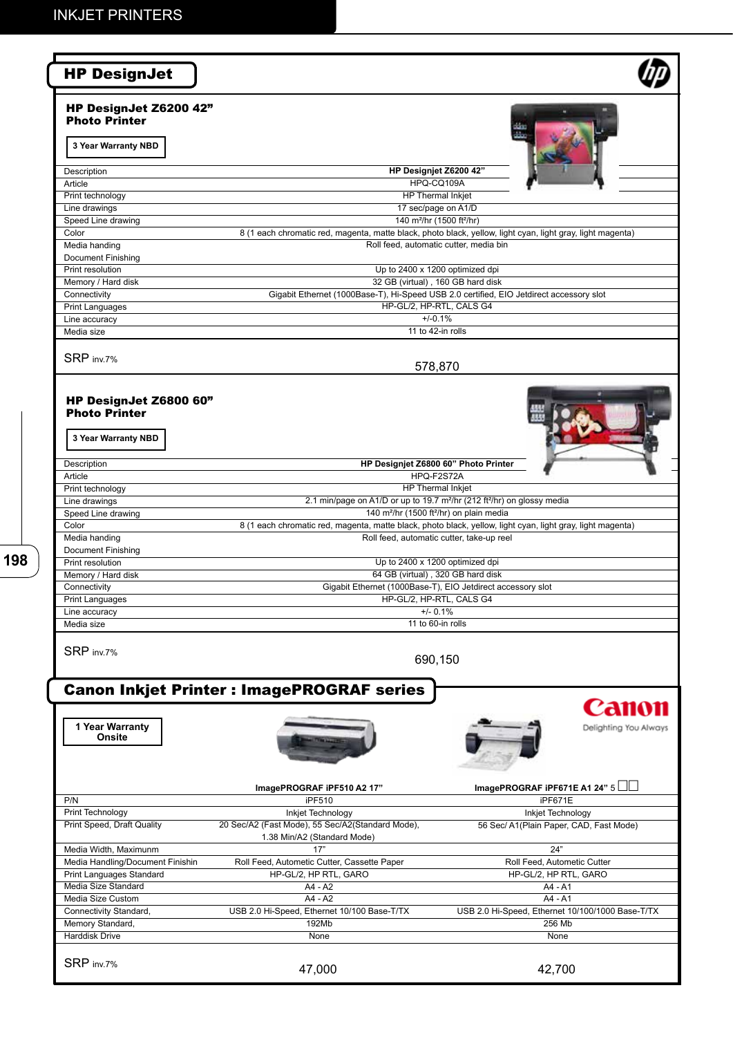| <b>HP DesignJet</b>                                                                                                                                                                                                                                               |                                                                                                                              |                                                                                    |
|-------------------------------------------------------------------------------------------------------------------------------------------------------------------------------------------------------------------------------------------------------------------|------------------------------------------------------------------------------------------------------------------------------|------------------------------------------------------------------------------------|
| HP DesignJet Z6200 42"<br><b>Photo Printer</b>                                                                                                                                                                                                                    |                                                                                                                              |                                                                                    |
| 3 Year Warranty NBD                                                                                                                                                                                                                                               |                                                                                                                              |                                                                                    |
| Description                                                                                                                                                                                                                                                       | HP Designjet Z6200 42"                                                                                                       |                                                                                    |
| Article                                                                                                                                                                                                                                                           | HPQ-CQ109A                                                                                                                   |                                                                                    |
| Print technology                                                                                                                                                                                                                                                  | HP Thermal Inkjet<br>17 sec/page on A1/D                                                                                     |                                                                                    |
| Line drawings<br>Speed Line drawing                                                                                                                                                                                                                               | 140 m <sup>2</sup> /hr (1500 ft <sup>2</sup> /hr)                                                                            |                                                                                    |
| Color                                                                                                                                                                                                                                                             | 8 (1 each chromatic red, magenta, matte black, photo black, yellow, light cyan, light gray, light magenta)                   |                                                                                    |
| Media handing                                                                                                                                                                                                                                                     | Roll feed, automatic cutter, media bin                                                                                       |                                                                                    |
| Document Finishing                                                                                                                                                                                                                                                |                                                                                                                              |                                                                                    |
| Print resolution                                                                                                                                                                                                                                                  | Up to 2400 x 1200 optimized dpi                                                                                              |                                                                                    |
| Memory / Hard disk                                                                                                                                                                                                                                                | 32 GB (virtual), 160 GB hard disk<br>Gigabit Ethernet (1000Base-T), Hi-Speed USB 2.0 certified, EIO Jetdirect accessory slot |                                                                                    |
| Connectivity<br><b>Print Languages</b>                                                                                                                                                                                                                            | HP-GL/2, HP-RTL, CALS G4                                                                                                     |                                                                                    |
| Line accuracy                                                                                                                                                                                                                                                     | $+/-0.1%$                                                                                                                    |                                                                                    |
| Media size                                                                                                                                                                                                                                                        | 11 to 42-in rolls                                                                                                            |                                                                                    |
|                                                                                                                                                                                                                                                                   |                                                                                                                              |                                                                                    |
| SRP inv.7%                                                                                                                                                                                                                                                        | 578,870                                                                                                                      |                                                                                    |
|                                                                                                                                                                                                                                                                   |                                                                                                                              |                                                                                    |
| HP DesignJet Z6800 60"                                                                                                                                                                                                                                            |                                                                                                                              |                                                                                    |
| <b>Photo Printer</b>                                                                                                                                                                                                                                              |                                                                                                                              |                                                                                    |
|                                                                                                                                                                                                                                                                   |                                                                                                                              |                                                                                    |
| 3 Year Warranty NBD                                                                                                                                                                                                                                               |                                                                                                                              |                                                                                    |
|                                                                                                                                                                                                                                                                   |                                                                                                                              |                                                                                    |
| Description                                                                                                                                                                                                                                                       | HP Designjet Z6800 60" Photo Printer<br>HPQ-F2S72A                                                                           |                                                                                    |
| Article<br>Print technology                                                                                                                                                                                                                                       | HP Thermal Inkjet                                                                                                            |                                                                                    |
| Line drawings                                                                                                                                                                                                                                                     | 2.1 min/page on A1/D or up to 19.7 m <sup>2</sup> /hr (212 ft <sup>2</sup> /hr) on glossy media                              |                                                                                    |
| Speed Line drawing                                                                                                                                                                                                                                                | 140 m <sup>2</sup> /hr (1500 ft <sup>2</sup> /hr) on plain media                                                             |                                                                                    |
| Color                                                                                                                                                                                                                                                             | 8 (1 each chromatic red, magenta, matte black, photo black, yellow, light cyan, light gray, light magenta)                   |                                                                                    |
| Media handing                                                                                                                                                                                                                                                     | Roll feed, automatic cutter, take-up reel                                                                                    |                                                                                    |
| Document Finishing                                                                                                                                                                                                                                                |                                                                                                                              |                                                                                    |
| Print resolution                                                                                                                                                                                                                                                  | Up to 2400 x 1200 optimized dpi<br>64 GB (virtual), 320 GB hard disk                                                         |                                                                                    |
| Memory / Hard disk<br>Connectivity                                                                                                                                                                                                                                | Gigabit Ethernet (1000Base-T), EIO Jetdirect accessory slot                                                                  |                                                                                    |
| Print Languages                                                                                                                                                                                                                                                   | HP-GL/2, HP-RTL, CALS G4                                                                                                     |                                                                                    |
| Line accuracy                                                                                                                                                                                                                                                     | $+/- 0.1%$                                                                                                                   |                                                                                    |
| Media size                                                                                                                                                                                                                                                        | 11 to 60-in rolls                                                                                                            |                                                                                    |
|                                                                                                                                                                                                                                                                   |                                                                                                                              |                                                                                    |
| SRP inv.7%                                                                                                                                                                                                                                                        |                                                                                                                              |                                                                                    |
|                                                                                                                                                                                                                                                                   | 690,150                                                                                                                      |                                                                                    |
|                                                                                                                                                                                                                                                                   | <b>Canon Inkjet Printer : ImagePROGRAF series</b>                                                                            |                                                                                    |
|                                                                                                                                                                                                                                                                   |                                                                                                                              |                                                                                    |
|                                                                                                                                                                                                                                                                   |                                                                                                                              |                                                                                    |
| 1 Year Warranty                                                                                                                                                                                                                                                   |                                                                                                                              |                                                                                    |
| Onsite                                                                                                                                                                                                                                                            |                                                                                                                              |                                                                                    |
|                                                                                                                                                                                                                                                                   |                                                                                                                              |                                                                                    |
|                                                                                                                                                                                                                                                                   |                                                                                                                              |                                                                                    |
|                                                                                                                                                                                                                                                                   | ImagePROGRAF iPF510 A2 17"                                                                                                   | ImagePROGRAF iPF671E A1 24" $5$                                                    |
|                                                                                                                                                                                                                                                                   | iPF510                                                                                                                       | iPF671E                                                                            |
|                                                                                                                                                                                                                                                                   | Inkjet Technology                                                                                                            | Inkjet Technology                                                                  |
|                                                                                                                                                                                                                                                                   | 20 Sec/A2 (Fast Mode), 55 Sec/A2(Standard Mode),                                                                             | 56 Sec/ A1(Plain Paper, CAD, Fast Mode)                                            |
|                                                                                                                                                                                                                                                                   | 1.38 Min/A2 (Standard Mode)                                                                                                  |                                                                                    |
|                                                                                                                                                                                                                                                                   | 17"                                                                                                                          | 24"                                                                                |
|                                                                                                                                                                                                                                                                   | Roll Feed, Autometic Cutter, Cassette Paper                                                                                  | Roll Feed, Autometic Cutter                                                        |
|                                                                                                                                                                                                                                                                   | HP-GL/2, HP RTL, GARO                                                                                                        | HP-GL/2, HP RTL, GARO                                                              |
|                                                                                                                                                                                                                                                                   | A4 - A2                                                                                                                      | A4 - A1                                                                            |
|                                                                                                                                                                                                                                                                   | $AA - A2$                                                                                                                    | A4 - A1                                                                            |
|                                                                                                                                                                                                                                                                   | USB 2.0 Hi-Speed, Ethernet 10/100 Base-T/TX                                                                                  |                                                                                    |
|                                                                                                                                                                                                                                                                   | 192Mb<br>None                                                                                                                | 256 Mb<br>None                                                                     |
| P/N<br>Print Technology<br>Print Speed, Draft Quality<br>Media Width, Maximunm<br>Media Handling/Document Finishin<br>Print Languages Standard<br>Media Size Standard<br>Media Size Custom<br>Connectivity Standard,<br>Memory Standard,<br><b>Harddisk Drive</b> |                                                                                                                              | Canon<br>Delighting You Always<br>USB 2.0 Hi-Speed, Ethernet 10/100/1000 Base-T/TX |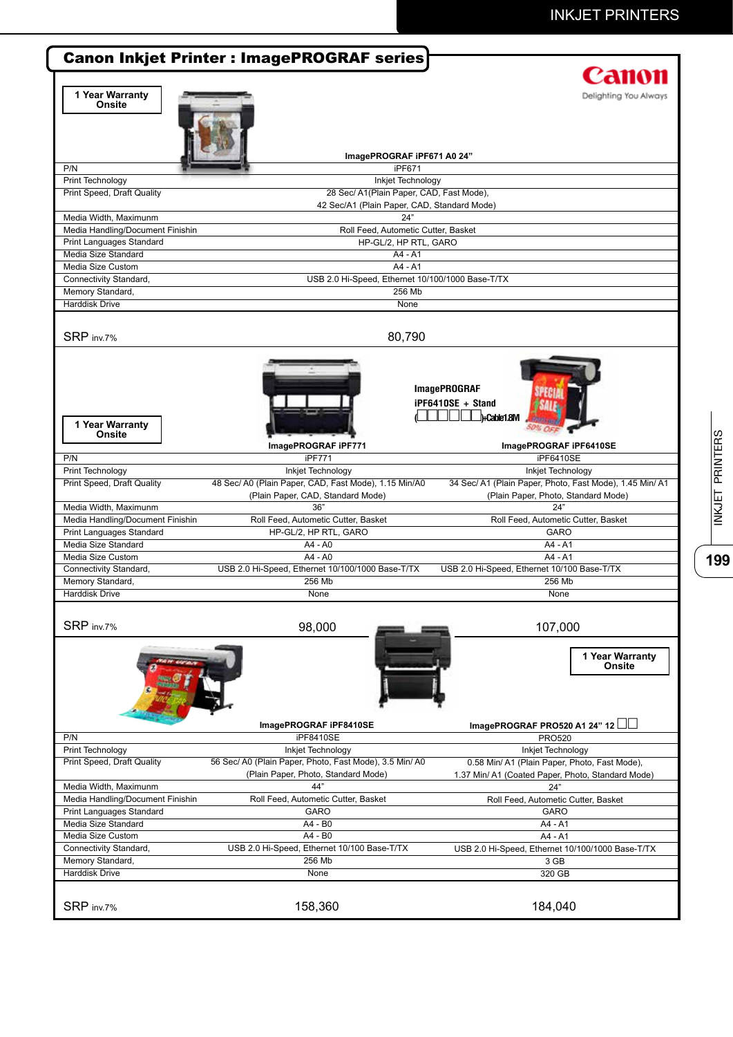|                                                                                                                                                                                                                 | <b>Canon Inkjet Printer : ImagePROGRAF series</b>       |                                                          |
|-----------------------------------------------------------------------------------------------------------------------------------------------------------------------------------------------------------------|---------------------------------------------------------|----------------------------------------------------------|
|                                                                                                                                                                                                                 |                                                         | Canon                                                    |
| 1 Year Warranty                                                                                                                                                                                                 |                                                         | Delighting You Always                                    |
| Onsite                                                                                                                                                                                                          |                                                         |                                                          |
|                                                                                                                                                                                                                 |                                                         |                                                          |
|                                                                                                                                                                                                                 |                                                         |                                                          |
|                                                                                                                                                                                                                 |                                                         |                                                          |
| P/N                                                                                                                                                                                                             | ImagePROGRAF iPF671 A0 24"<br>iPF671                    |                                                          |
| Print Technology                                                                                                                                                                                                | Inkjet Technology                                       |                                                          |
| <b>Print Speed, Draft Quality</b>                                                                                                                                                                               | 28 Sec/ A1(Plain Paper, CAD, Fast Mode),                |                                                          |
|                                                                                                                                                                                                                 | 42 Sec/A1 (Plain Paper, CAD, Standard Mode)             |                                                          |
| Media Width, Maximunm                                                                                                                                                                                           | 24"                                                     |                                                          |
| Media Handling/Document Finishin                                                                                                                                                                                | Roll Feed, Autometic Cutter, Basket                     |                                                          |
| Print Languages Standard                                                                                                                                                                                        | HP-GL/2, HP RTL, GARO                                   |                                                          |
| Media Size Standard                                                                                                                                                                                             | $A4 - A1$                                               |                                                          |
| Media Size Custom                                                                                                                                                                                               | $AA - A1$                                               |                                                          |
| Connectivity Standard,                                                                                                                                                                                          | USB 2.0 Hi-Speed, Ethernet 10/100/1000 Base-T/TX        |                                                          |
| Memory Standard,                                                                                                                                                                                                | 256 Mb                                                  |                                                          |
| <b>Harddisk Drive</b>                                                                                                                                                                                           | None                                                    |                                                          |
|                                                                                                                                                                                                                 |                                                         |                                                          |
| SRP inv.7%                                                                                                                                                                                                      | 80,790                                                  |                                                          |
|                                                                                                                                                                                                                 |                                                         |                                                          |
|                                                                                                                                                                                                                 |                                                         |                                                          |
|                                                                                                                                                                                                                 |                                                         |                                                          |
|                                                                                                                                                                                                                 |                                                         | <b>ImagePROGRAF</b>                                      |
|                                                                                                                                                                                                                 |                                                         |                                                          |
|                                                                                                                                                                                                                 |                                                         | iPF6410SE + Stand                                        |
| 1 Year Warranty                                                                                                                                                                                                 |                                                         | h-Cable 1.8M                                             |
| <b>Onsite</b>                                                                                                                                                                                                   |                                                         |                                                          |
|                                                                                                                                                                                                                 | ImagePROGRAF iPF771                                     | ImagePROGRAF iPF6410SE                                   |
| P/N                                                                                                                                                                                                             | iPF771                                                  | iPF6410SE                                                |
| Print Technology                                                                                                                                                                                                | Inkjet Technology                                       | Inkjet Technology                                        |
| <b>Print Speed, Draft Quality</b>                                                                                                                                                                               | 48 Sec/ A0 (Plain Paper, CAD, Fast Mode), 1.15 Min/A0   | 34 Sec/ A1 (Plain Paper, Photo, Fast Mode), 1.45 Min/ A1 |
|                                                                                                                                                                                                                 | (Plain Paper, CAD, Standard Mode)                       | (Plain Paper, Photo, Standard Mode)                      |
| Media Width, Maximunm                                                                                                                                                                                           | 36"                                                     | 24"                                                      |
| Media Handling/Document Finishin                                                                                                                                                                                | Roll Feed, Autometic Cutter, Basket                     | Roll Feed, Autometic Cutter, Basket                      |
| Print Languages Standard                                                                                                                                                                                        | HP-GL/2, HP RTL, GARO                                   | GARO                                                     |
| Media Size Standard                                                                                                                                                                                             | A4 - A0                                                 | A4 - A1                                                  |
| Media Size Custom                                                                                                                                                                                               | A4 - A0                                                 | A4 - A1                                                  |
| Connectivity Standard,                                                                                                                                                                                          | USB 2.0 Hi-Speed, Ethernet 10/100/1000 Base-T/TX        | USB 2.0 Hi-Speed, Ethernet 10/100 Base-T/TX              |
| Memory Standard,                                                                                                                                                                                                | 256 Mb                                                  | 256 Mb                                                   |
| Harddisk Drive                                                                                                                                                                                                  | None                                                    | None                                                     |
|                                                                                                                                                                                                                 |                                                         |                                                          |
| SRP inv.7%                                                                                                                                                                                                      | 98,000                                                  | 107,000                                                  |
|                                                                                                                                                                                                                 |                                                         |                                                          |
|                                                                                                                                                                                                                 |                                                         |                                                          |
|                                                                                                                                                                                                                 |                                                         | 1 Year Warranty<br>Onsite                                |
|                                                                                                                                                                                                                 |                                                         |                                                          |
|                                                                                                                                                                                                                 |                                                         |                                                          |
|                                                                                                                                                                                                                 |                                                         |                                                          |
|                                                                                                                                                                                                                 |                                                         |                                                          |
|                                                                                                                                                                                                                 | ImagePROGRAF iPF8410SE                                  | ImagePROGRAF PRO520 A1 24" 12                            |
| P/N                                                                                                                                                                                                             | iPF8410SE                                               | <b>PRO520</b>                                            |
| Print Technology                                                                                                                                                                                                | Inkjet Technology                                       | Inkjet Technology                                        |
| Print Speed, Draft Quality                                                                                                                                                                                      | 56 Sec/ A0 (Plain Paper, Photo, Fast Mode), 3.5 Min/ A0 | 0.58 Min/ A1 (Plain Paper, Photo, Fast Mode),            |
|                                                                                                                                                                                                                 | (Plain Paper, Photo, Standard Mode)                     | 1.37 Min/ A1 (Coated Paper, Photo, Standard Mode)        |
|                                                                                                                                                                                                                 |                                                         |                                                          |
|                                                                                                                                                                                                                 | 44"                                                     | 24"                                                      |
|                                                                                                                                                                                                                 | Roll Feed, Autometic Cutter, Basket                     | Roll Feed, Autometic Cutter, Basket                      |
|                                                                                                                                                                                                                 | <b>GARO</b>                                             | <b>GARO</b>                                              |
|                                                                                                                                                                                                                 | A4 - B0                                                 | A4 - A1                                                  |
|                                                                                                                                                                                                                 | A4 - B0                                                 | A4 - A1                                                  |
|                                                                                                                                                                                                                 | USB 2.0 Hi-Speed, Ethernet 10/100 Base-T/TX             | USB 2.0 Hi-Speed, Ethernet 10/100/1000 Base-T/TX         |
|                                                                                                                                                                                                                 | 256 Mb                                                  | 3 GB                                                     |
|                                                                                                                                                                                                                 | None                                                    | 320 GB                                                   |
|                                                                                                                                                                                                                 |                                                         |                                                          |
| Media Width, Maximunm<br>Media Handling/Document Finishin<br>Print Languages Standard<br>Media Size Standard<br>Media Size Custom<br>Connectivity Standard,<br>Memory Standard,<br>Harddisk Drive<br>SRP inv.7% | 158,360                                                 | 184,040                                                  |

INKJET PRINTERS **199**INKJET PRINTERS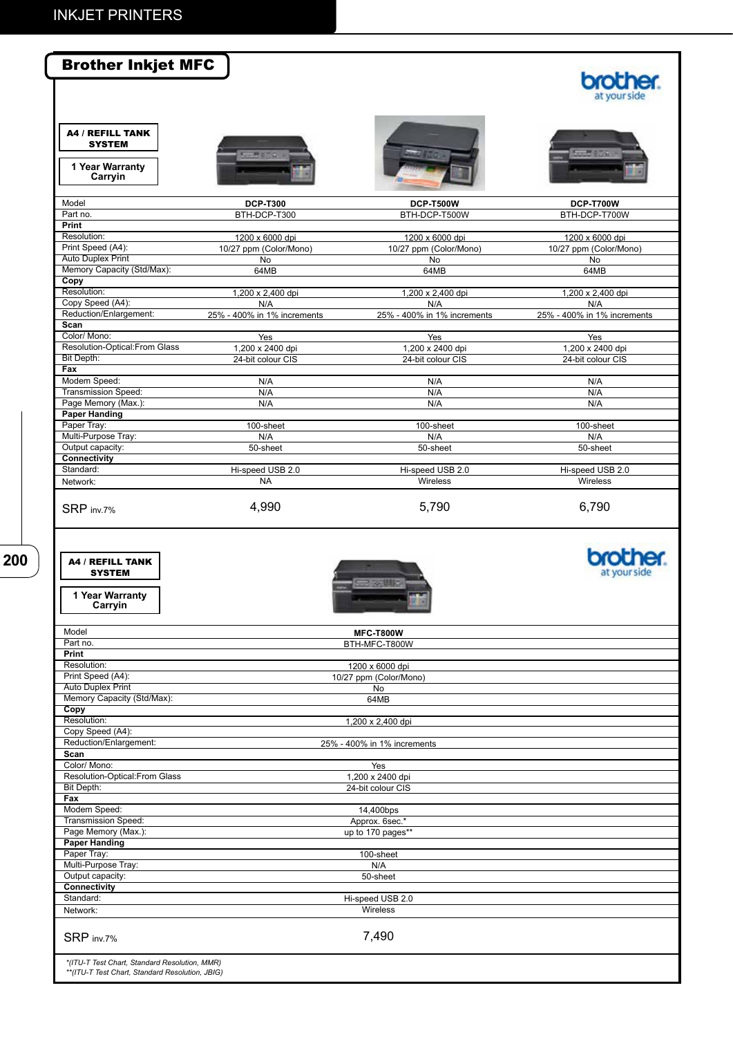| <b>A4 / REFILL TANK</b><br><b>SYSTEM</b><br>1 Year Warranty<br>Carryin<br>Model<br><b>DCP-T300</b><br><b>DCP-T500W</b><br><b>DCP-T700W</b><br>Part no.<br>BTH-DCP-T300<br>BTH-DCP-T500W<br>BTH-DCP-T700W<br>Print<br>Resolution:<br>1200 x 6000 dpi<br>1200 x 6000 dpi<br>1200 x 6000 dpi<br>Print Speed (A4):<br>10/27 ppm (Color/Mono)<br>10/27 ppm (Color/Mono)<br>10/27 ppm (Color/Mono)<br><b>Auto Duplex Print</b><br><b>No</b><br>No<br>No<br>Memory Capacity (Std/Max):<br>64MB<br>64MB<br>64MB<br>Copy<br>Resolution:<br>1,200 x 2,400 dpi<br>1,200 x 2,400 dpi<br>1,200 x 2,400 dpi<br>Copy Speed (A4):<br>N/A<br>N/A<br>N/A<br>Reduction/Enlargement:<br>25% - 400% in 1% increments<br>25% - 400% in 1% increments<br>25% - 400% in 1% increments<br>Scan<br>Color/ Mono:<br>Yes<br>Yes<br>Yes<br>Resolution-Optical: From Glass<br>1,200 x 2400 dpi<br>1,200 x 2400 dpi<br>1,200 x 2400 dpi<br>Bit Depth:<br>24-bit colour CIS<br>24-bit colour CIS<br>24-bit colour CIS<br>Fax<br>Modem Speed:<br>N/A<br>N/A<br>N/A<br><b>Transmission Speed:</b><br>N/A<br>N/A<br>N/A<br>Page Memory (Max.):<br>N/A<br>N/A<br>N/A<br><b>Paper Handing</b><br>Paper Tray:<br>100-sheet<br>100-sheet<br>100-sheet<br>Multi-Purpose Tray:<br>N/A<br>N/A<br>N/A<br>Output capacity:<br>50-sheet<br>50-sheet<br>50-sheet<br>Connectivity<br>Standard:<br>Hi-speed USB 2.0<br>Hi-speed USB 2.0<br>Hi-speed USB 2.0<br><b>NA</b><br>Wireless<br>Wireless<br>Network:<br>4,990<br>5,790<br>6,790<br>SRP inv.7%<br><b>A4 / REFILL TANK</b><br><b>SYSTEM</b><br>1 Year Warranty<br>Carryin<br>Model<br><b>MFC-T800W</b><br>Part no.<br>BTH-MFC-T800W<br><b>Print</b><br>Resolution:<br>1200 x 6000 dpi<br>Print Speed (A4):<br>10/27 ppm (Color/Mono)<br><b>Auto Duplex Print</b><br>No<br>Memory Capacity (Std/Max):<br>64MB<br>Copy<br>Resolution:<br>1,200 x 2,400 dpi<br>Copy Speed (A4):<br>Reduction/Enlargement:<br>25% - 400% in 1% increments<br>Scan<br>Color/ Mono:<br>Yes<br>Resolution-Optical:From Glass<br>1,200 x 2400 dpi<br>Bit Depth:<br>24-bit colour CIS<br>Fax<br>Modem Speed:<br>14,400bps<br><b>Transmission Speed:</b><br>Approx. 6sec.*<br>Page Memory (Max.):<br>up to 170 pages**<br><b>Paper Handing</b><br>Paper Tray:<br>100-sheet | <b>Brother Inkjet MFC</b> |  | at vour side |
|--------------------------------------------------------------------------------------------------------------------------------------------------------------------------------------------------------------------------------------------------------------------------------------------------------------------------------------------------------------------------------------------------------------------------------------------------------------------------------------------------------------------------------------------------------------------------------------------------------------------------------------------------------------------------------------------------------------------------------------------------------------------------------------------------------------------------------------------------------------------------------------------------------------------------------------------------------------------------------------------------------------------------------------------------------------------------------------------------------------------------------------------------------------------------------------------------------------------------------------------------------------------------------------------------------------------------------------------------------------------------------------------------------------------------------------------------------------------------------------------------------------------------------------------------------------------------------------------------------------------------------------------------------------------------------------------------------------------------------------------------------------------------------------------------------------------------------------------------------------------------------------------------------------------------------------------------------------------------------------------------------------------------------------------------------------------------------------------------------------------------------------------------------------------------------------------------------------------------------------------------------|---------------------------|--|--------------|
|                                                                                                                                                                                                                                                                                                                                                                                                                                                                                                                                                                                                                                                                                                                                                                                                                                                                                                                                                                                                                                                                                                                                                                                                                                                                                                                                                                                                                                                                                                                                                                                                                                                                                                                                                                                                                                                                                                                                                                                                                                                                                                                                                                                                                                                        |                           |  |              |
|                                                                                                                                                                                                                                                                                                                                                                                                                                                                                                                                                                                                                                                                                                                                                                                                                                                                                                                                                                                                                                                                                                                                                                                                                                                                                                                                                                                                                                                                                                                                                                                                                                                                                                                                                                                                                                                                                                                                                                                                                                                                                                                                                                                                                                                        |                           |  |              |
|                                                                                                                                                                                                                                                                                                                                                                                                                                                                                                                                                                                                                                                                                                                                                                                                                                                                                                                                                                                                                                                                                                                                                                                                                                                                                                                                                                                                                                                                                                                                                                                                                                                                                                                                                                                                                                                                                                                                                                                                                                                                                                                                                                                                                                                        |                           |  |              |
|                                                                                                                                                                                                                                                                                                                                                                                                                                                                                                                                                                                                                                                                                                                                                                                                                                                                                                                                                                                                                                                                                                                                                                                                                                                                                                                                                                                                                                                                                                                                                                                                                                                                                                                                                                                                                                                                                                                                                                                                                                                                                                                                                                                                                                                        |                           |  |              |
|                                                                                                                                                                                                                                                                                                                                                                                                                                                                                                                                                                                                                                                                                                                                                                                                                                                                                                                                                                                                                                                                                                                                                                                                                                                                                                                                                                                                                                                                                                                                                                                                                                                                                                                                                                                                                                                                                                                                                                                                                                                                                                                                                                                                                                                        |                           |  |              |
|                                                                                                                                                                                                                                                                                                                                                                                                                                                                                                                                                                                                                                                                                                                                                                                                                                                                                                                                                                                                                                                                                                                                                                                                                                                                                                                                                                                                                                                                                                                                                                                                                                                                                                                                                                                                                                                                                                                                                                                                                                                                                                                                                                                                                                                        |                           |  |              |
|                                                                                                                                                                                                                                                                                                                                                                                                                                                                                                                                                                                                                                                                                                                                                                                                                                                                                                                                                                                                                                                                                                                                                                                                                                                                                                                                                                                                                                                                                                                                                                                                                                                                                                                                                                                                                                                                                                                                                                                                                                                                                                                                                                                                                                                        |                           |  |              |
|                                                                                                                                                                                                                                                                                                                                                                                                                                                                                                                                                                                                                                                                                                                                                                                                                                                                                                                                                                                                                                                                                                                                                                                                                                                                                                                                                                                                                                                                                                                                                                                                                                                                                                                                                                                                                                                                                                                                                                                                                                                                                                                                                                                                                                                        |                           |  |              |
|                                                                                                                                                                                                                                                                                                                                                                                                                                                                                                                                                                                                                                                                                                                                                                                                                                                                                                                                                                                                                                                                                                                                                                                                                                                                                                                                                                                                                                                                                                                                                                                                                                                                                                                                                                                                                                                                                                                                                                                                                                                                                                                                                                                                                                                        |                           |  |              |
|                                                                                                                                                                                                                                                                                                                                                                                                                                                                                                                                                                                                                                                                                                                                                                                                                                                                                                                                                                                                                                                                                                                                                                                                                                                                                                                                                                                                                                                                                                                                                                                                                                                                                                                                                                                                                                                                                                                                                                                                                                                                                                                                                                                                                                                        |                           |  |              |
|                                                                                                                                                                                                                                                                                                                                                                                                                                                                                                                                                                                                                                                                                                                                                                                                                                                                                                                                                                                                                                                                                                                                                                                                                                                                                                                                                                                                                                                                                                                                                                                                                                                                                                                                                                                                                                                                                                                                                                                                                                                                                                                                                                                                                                                        |                           |  |              |
|                                                                                                                                                                                                                                                                                                                                                                                                                                                                                                                                                                                                                                                                                                                                                                                                                                                                                                                                                                                                                                                                                                                                                                                                                                                                                                                                                                                                                                                                                                                                                                                                                                                                                                                                                                                                                                                                                                                                                                                                                                                                                                                                                                                                                                                        |                           |  |              |
|                                                                                                                                                                                                                                                                                                                                                                                                                                                                                                                                                                                                                                                                                                                                                                                                                                                                                                                                                                                                                                                                                                                                                                                                                                                                                                                                                                                                                                                                                                                                                                                                                                                                                                                                                                                                                                                                                                                                                                                                                                                                                                                                                                                                                                                        |                           |  |              |
|                                                                                                                                                                                                                                                                                                                                                                                                                                                                                                                                                                                                                                                                                                                                                                                                                                                                                                                                                                                                                                                                                                                                                                                                                                                                                                                                                                                                                                                                                                                                                                                                                                                                                                                                                                                                                                                                                                                                                                                                                                                                                                                                                                                                                                                        |                           |  |              |
|                                                                                                                                                                                                                                                                                                                                                                                                                                                                                                                                                                                                                                                                                                                                                                                                                                                                                                                                                                                                                                                                                                                                                                                                                                                                                                                                                                                                                                                                                                                                                                                                                                                                                                                                                                                                                                                                                                                                                                                                                                                                                                                                                                                                                                                        |                           |  |              |
|                                                                                                                                                                                                                                                                                                                                                                                                                                                                                                                                                                                                                                                                                                                                                                                                                                                                                                                                                                                                                                                                                                                                                                                                                                                                                                                                                                                                                                                                                                                                                                                                                                                                                                                                                                                                                                                                                                                                                                                                                                                                                                                                                                                                                                                        |                           |  |              |
|                                                                                                                                                                                                                                                                                                                                                                                                                                                                                                                                                                                                                                                                                                                                                                                                                                                                                                                                                                                                                                                                                                                                                                                                                                                                                                                                                                                                                                                                                                                                                                                                                                                                                                                                                                                                                                                                                                                                                                                                                                                                                                                                                                                                                                                        |                           |  |              |
|                                                                                                                                                                                                                                                                                                                                                                                                                                                                                                                                                                                                                                                                                                                                                                                                                                                                                                                                                                                                                                                                                                                                                                                                                                                                                                                                                                                                                                                                                                                                                                                                                                                                                                                                                                                                                                                                                                                                                                                                                                                                                                                                                                                                                                                        |                           |  |              |
|                                                                                                                                                                                                                                                                                                                                                                                                                                                                                                                                                                                                                                                                                                                                                                                                                                                                                                                                                                                                                                                                                                                                                                                                                                                                                                                                                                                                                                                                                                                                                                                                                                                                                                                                                                                                                                                                                                                                                                                                                                                                                                                                                                                                                                                        |                           |  |              |
|                                                                                                                                                                                                                                                                                                                                                                                                                                                                                                                                                                                                                                                                                                                                                                                                                                                                                                                                                                                                                                                                                                                                                                                                                                                                                                                                                                                                                                                                                                                                                                                                                                                                                                                                                                                                                                                                                                                                                                                                                                                                                                                                                                                                                                                        |                           |  |              |
|                                                                                                                                                                                                                                                                                                                                                                                                                                                                                                                                                                                                                                                                                                                                                                                                                                                                                                                                                                                                                                                                                                                                                                                                                                                                                                                                                                                                                                                                                                                                                                                                                                                                                                                                                                                                                                                                                                                                                                                                                                                                                                                                                                                                                                                        |                           |  |              |
|                                                                                                                                                                                                                                                                                                                                                                                                                                                                                                                                                                                                                                                                                                                                                                                                                                                                                                                                                                                                                                                                                                                                                                                                                                                                                                                                                                                                                                                                                                                                                                                                                                                                                                                                                                                                                                                                                                                                                                                                                                                                                                                                                                                                                                                        |                           |  |              |
|                                                                                                                                                                                                                                                                                                                                                                                                                                                                                                                                                                                                                                                                                                                                                                                                                                                                                                                                                                                                                                                                                                                                                                                                                                                                                                                                                                                                                                                                                                                                                                                                                                                                                                                                                                                                                                                                                                                                                                                                                                                                                                                                                                                                                                                        |                           |  |              |
|                                                                                                                                                                                                                                                                                                                                                                                                                                                                                                                                                                                                                                                                                                                                                                                                                                                                                                                                                                                                                                                                                                                                                                                                                                                                                                                                                                                                                                                                                                                                                                                                                                                                                                                                                                                                                                                                                                                                                                                                                                                                                                                                                                                                                                                        |                           |  |              |
|                                                                                                                                                                                                                                                                                                                                                                                                                                                                                                                                                                                                                                                                                                                                                                                                                                                                                                                                                                                                                                                                                                                                                                                                                                                                                                                                                                                                                                                                                                                                                                                                                                                                                                                                                                                                                                                                                                                                                                                                                                                                                                                                                                                                                                                        |                           |  |              |
|                                                                                                                                                                                                                                                                                                                                                                                                                                                                                                                                                                                                                                                                                                                                                                                                                                                                                                                                                                                                                                                                                                                                                                                                                                                                                                                                                                                                                                                                                                                                                                                                                                                                                                                                                                                                                                                                                                                                                                                                                                                                                                                                                                                                                                                        |                           |  |              |
|                                                                                                                                                                                                                                                                                                                                                                                                                                                                                                                                                                                                                                                                                                                                                                                                                                                                                                                                                                                                                                                                                                                                                                                                                                                                                                                                                                                                                                                                                                                                                                                                                                                                                                                                                                                                                                                                                                                                                                                                                                                                                                                                                                                                                                                        |                           |  |              |
|                                                                                                                                                                                                                                                                                                                                                                                                                                                                                                                                                                                                                                                                                                                                                                                                                                                                                                                                                                                                                                                                                                                                                                                                                                                                                                                                                                                                                                                                                                                                                                                                                                                                                                                                                                                                                                                                                                                                                                                                                                                                                                                                                                                                                                                        |                           |  |              |
|                                                                                                                                                                                                                                                                                                                                                                                                                                                                                                                                                                                                                                                                                                                                                                                                                                                                                                                                                                                                                                                                                                                                                                                                                                                                                                                                                                                                                                                                                                                                                                                                                                                                                                                                                                                                                                                                                                                                                                                                                                                                                                                                                                                                                                                        |                           |  |              |
|                                                                                                                                                                                                                                                                                                                                                                                                                                                                                                                                                                                                                                                                                                                                                                                                                                                                                                                                                                                                                                                                                                                                                                                                                                                                                                                                                                                                                                                                                                                                                                                                                                                                                                                                                                                                                                                                                                                                                                                                                                                                                                                                                                                                                                                        |                           |  |              |
|                                                                                                                                                                                                                                                                                                                                                                                                                                                                                                                                                                                                                                                                                                                                                                                                                                                                                                                                                                                                                                                                                                                                                                                                                                                                                                                                                                                                                                                                                                                                                                                                                                                                                                                                                                                                                                                                                                                                                                                                                                                                                                                                                                                                                                                        |                           |  |              |
|                                                                                                                                                                                                                                                                                                                                                                                                                                                                                                                                                                                                                                                                                                                                                                                                                                                                                                                                                                                                                                                                                                                                                                                                                                                                                                                                                                                                                                                                                                                                                                                                                                                                                                                                                                                                                                                                                                                                                                                                                                                                                                                                                                                                                                                        |                           |  |              |
|                                                                                                                                                                                                                                                                                                                                                                                                                                                                                                                                                                                                                                                                                                                                                                                                                                                                                                                                                                                                                                                                                                                                                                                                                                                                                                                                                                                                                                                                                                                                                                                                                                                                                                                                                                                                                                                                                                                                                                                                                                                                                                                                                                                                                                                        |                           |  |              |
|                                                                                                                                                                                                                                                                                                                                                                                                                                                                                                                                                                                                                                                                                                                                                                                                                                                                                                                                                                                                                                                                                                                                                                                                                                                                                                                                                                                                                                                                                                                                                                                                                                                                                                                                                                                                                                                                                                                                                                                                                                                                                                                                                                                                                                                        |                           |  |              |
|                                                                                                                                                                                                                                                                                                                                                                                                                                                                                                                                                                                                                                                                                                                                                                                                                                                                                                                                                                                                                                                                                                                                                                                                                                                                                                                                                                                                                                                                                                                                                                                                                                                                                                                                                                                                                                                                                                                                                                                                                                                                                                                                                                                                                                                        |                           |  |              |
|                                                                                                                                                                                                                                                                                                                                                                                                                                                                                                                                                                                                                                                                                                                                                                                                                                                                                                                                                                                                                                                                                                                                                                                                                                                                                                                                                                                                                                                                                                                                                                                                                                                                                                                                                                                                                                                                                                                                                                                                                                                                                                                                                                                                                                                        |                           |  |              |
|                                                                                                                                                                                                                                                                                                                                                                                                                                                                                                                                                                                                                                                                                                                                                                                                                                                                                                                                                                                                                                                                                                                                                                                                                                                                                                                                                                                                                                                                                                                                                                                                                                                                                                                                                                                                                                                                                                                                                                                                                                                                                                                                                                                                                                                        |                           |  |              |
|                                                                                                                                                                                                                                                                                                                                                                                                                                                                                                                                                                                                                                                                                                                                                                                                                                                                                                                                                                                                                                                                                                                                                                                                                                                                                                                                                                                                                                                                                                                                                                                                                                                                                                                                                                                                                                                                                                                                                                                                                                                                                                                                                                                                                                                        |                           |  |              |
|                                                                                                                                                                                                                                                                                                                                                                                                                                                                                                                                                                                                                                                                                                                                                                                                                                                                                                                                                                                                                                                                                                                                                                                                                                                                                                                                                                                                                                                                                                                                                                                                                                                                                                                                                                                                                                                                                                                                                                                                                                                                                                                                                                                                                                                        |                           |  |              |
|                                                                                                                                                                                                                                                                                                                                                                                                                                                                                                                                                                                                                                                                                                                                                                                                                                                                                                                                                                                                                                                                                                                                                                                                                                                                                                                                                                                                                                                                                                                                                                                                                                                                                                                                                                                                                                                                                                                                                                                                                                                                                                                                                                                                                                                        |                           |  |              |
|                                                                                                                                                                                                                                                                                                                                                                                                                                                                                                                                                                                                                                                                                                                                                                                                                                                                                                                                                                                                                                                                                                                                                                                                                                                                                                                                                                                                                                                                                                                                                                                                                                                                                                                                                                                                                                                                                                                                                                                                                                                                                                                                                                                                                                                        |                           |  |              |
|                                                                                                                                                                                                                                                                                                                                                                                                                                                                                                                                                                                                                                                                                                                                                                                                                                                                                                                                                                                                                                                                                                                                                                                                                                                                                                                                                                                                                                                                                                                                                                                                                                                                                                                                                                                                                                                                                                                                                                                                                                                                                                                                                                                                                                                        |                           |  |              |
|                                                                                                                                                                                                                                                                                                                                                                                                                                                                                                                                                                                                                                                                                                                                                                                                                                                                                                                                                                                                                                                                                                                                                                                                                                                                                                                                                                                                                                                                                                                                                                                                                                                                                                                                                                                                                                                                                                                                                                                                                                                                                                                                                                                                                                                        |                           |  |              |
|                                                                                                                                                                                                                                                                                                                                                                                                                                                                                                                                                                                                                                                                                                                                                                                                                                                                                                                                                                                                                                                                                                                                                                                                                                                                                                                                                                                                                                                                                                                                                                                                                                                                                                                                                                                                                                                                                                                                                                                                                                                                                                                                                                                                                                                        |                           |  |              |

Multi-Purpose Tray: Output capacity: **Connectivity** Standard: SRP inv.7% N/A 50-sheet Hi-speed USB 2.0 Wireless 7,490

*\*(ITU-T Test Chart, Standard Resolution, MMR) \*\*(ITU-T Test Chart, Standard Resolution, JBIG)*

Network: